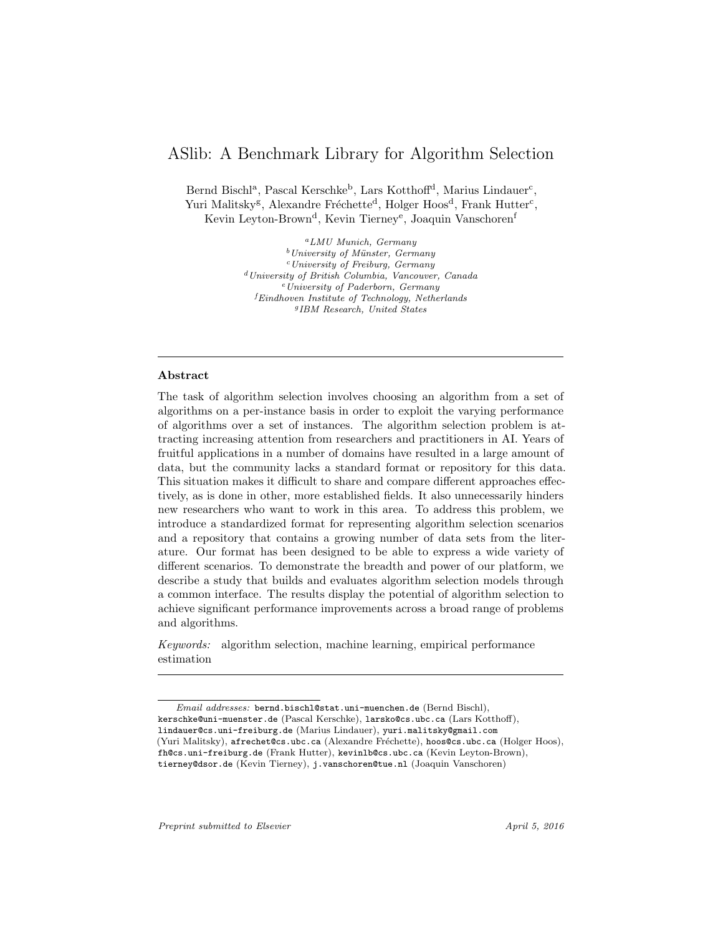# ASlib: A Benchmark Library for Algorithm Selection

Bernd Bischl<sup>a</sup>, Pascal Kerschke<sup>b</sup>, Lars Kotthoff<sup>d</sup>, Marius Lindauer<sup>c</sup>, Yuri Malitsky<sup>g</sup>, Alexandre Fréchette<sup>d</sup>, Holger Hoos<sup>d</sup>, Frank Hutter<sup>c</sup>, Kevin Leyton-Brown<sup>d</sup>, Kevin Tierney<sup>e</sup>, Joaquin Vanschoren<sup>f</sup>

> *<sup>a</sup>LMU Munich, Germany <sup>b</sup>University of M¨unster, Germany <sup>c</sup>University of Freiburg, Germany <sup>d</sup>University of British Columbia, Vancouver, Canada <sup>e</sup>University of Paderborn, Germany <sup>f</sup>Eindhoven Institute of Technology, Netherlands g IBM Research, United States*

### **Abstract**

The task of algorithm selection involves choosing an algorithm from a set of algorithms on a per-instance basis in order to exploit the varying performance of algorithms over a set of instances. The algorithm selection problem is attracting increasing attention from researchers and practitioners in AI. Years of fruitful applications in a number of domains have resulted in a large amount of data, but the community lacks a standard format or repository for this data. This situation makes it difficult to share and compare different approaches effectively, as is done in other, more established fields. It also unnecessarily hinders new researchers who want to work in this area. To address this problem, we introduce a standardized format for representing algorithm selection scenarios and a repository that contains a growing number of data sets from the literature. Our format has been designed to be able to express a wide variety of different scenarios. To demonstrate the breadth and power of our platform, we describe a study that builds and evaluates algorithm selection models through a common interface. The results display the potential of algorithm selection to achieve significant performance improvements across a broad range of problems and algorithms.

*Keywords:* algorithm selection, machine learning, empirical performance estimation

*Preprint submitted to Elsevier April 5, 2016*

*Email addresses:* bernd.bischl@stat.uni-muenchen.de (Bernd Bischl), kerschke@uni-muenster.de (Pascal Kerschke), larsko@cs.ubc.ca (Lars Kotthoff), lindauer@cs.uni-freiburg.de (Marius Lindauer), yuri.malitsky@gmail.com (Yuri Malitsky), afrechet@cs.ubc.ca (Alexandre Fréchette), hoos@cs.ubc.ca (Holger Hoos), fh@cs.uni-freiburg.de (Frank Hutter), kevinlb@cs.ubc.ca (Kevin Leyton-Brown), tierney@dsor.de (Kevin Tierney), j.vanschoren@tue.nl (Joaquin Vanschoren)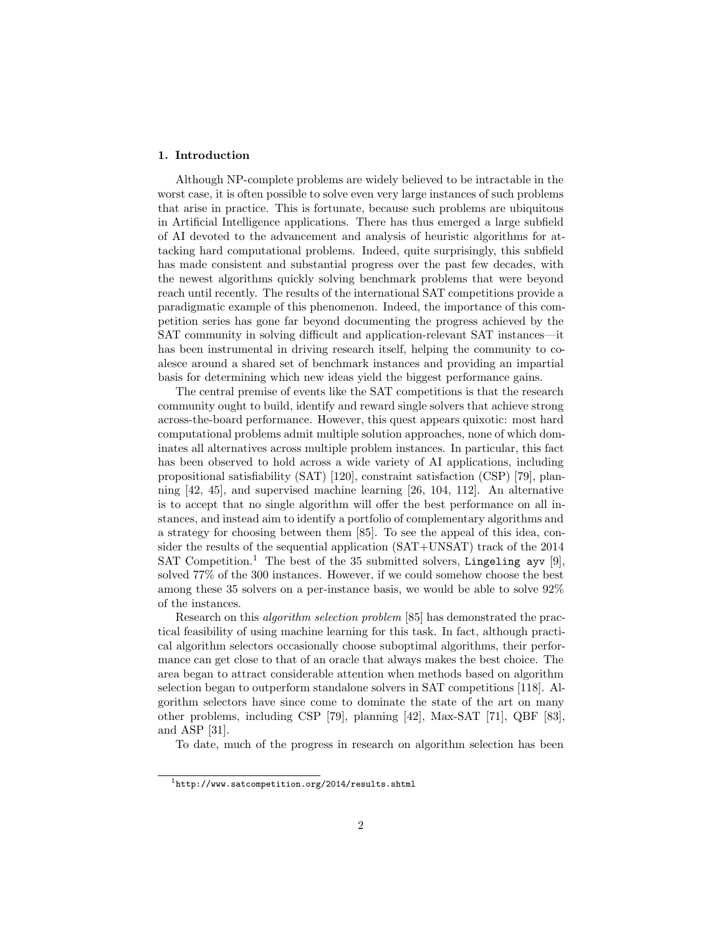### **1. Introduction**

Although NP-complete problems are widely believed to be intractable in the worst case, it is often possible to solve even very large instances of such problems that arise in practice. This is fortunate, because such problems are ubiquitous in Artificial Intelligence applications. There has thus emerged a large subfield of AI devoted to the advancement and analysis of heuristic algorithms for attacking hard computational problems. Indeed, quite surprisingly, this subfield has made consistent and substantial progress over the past few decades, with the newest algorithms quickly solving benchmark problems that were beyond reach until recently. The results of the international SAT competitions provide a paradigmatic example of this phenomenon. Indeed, the importance of this competition series has gone far beyond documenting the progress achieved by the SAT community in solving difficult and application-relevant SAT instances—it has been instrumental in driving research itself, helping the community to coalesce around a shared set of benchmark instances and providing an impartial basis for determining which new ideas yield the biggest performance gains.

The central premise of events like the SAT competitions is that the research community ought to build, identify and reward single solvers that achieve strong across-the-board performance. However, this quest appears quixotic: most hard computational problems admit multiple solution approaches, none of which dominates all alternatives across multiple problem instances. In particular, this fact has been observed to hold across a wide variety of AI applications, including propositional satisfiability (SAT) [[120\]](#page-35-0), constraint satisfaction (CSP) [\[79](#page-32-0)], planning [\[42](#page-29-0), [45](#page-29-1)], and supervised machine learning [[26,](#page-27-0) [104,](#page-34-0) [112](#page-35-1)]. An alternative is to accept that no single algorithm will offer the best performance on all instances, and instead aim to identify a portfolio of complementary algorithms and a strategy for choosing between them [\[85](#page-32-1)]. To see the appeal of this idea, consider the results of the sequential application (SAT+UNSAT) track of the 2014 SAT Competition.<sup>[1](#page-1-0)</sup> The best of the 35 submitted solvers, Lingeling ayv [\[9](#page-26-0)], solved 77% of the 300 instances. However, if we could somehow choose the best among these 35 solvers on a per-instance basis, we would be able to solve 92% of the instances.

Research on this *algorithm selection problem* [[85\]](#page-32-1) has demonstrated the practical feasibility of using machine learning for this task. In fact, although practical algorithm selectors occasionally choose suboptimal algorithms, their performance can get close to that of an oracle that always makes the best choice. The area began to attract considerable attention when methods based on algorithm selection began to outperform standalone solvers in SAT competitions [[118\]](#page-35-2). Algorithm selectors have since come to dominate the state of the art on many other problems, including CSP [\[79](#page-32-0)], planning [[42\]](#page-29-0), Max-SAT [\[71](#page-31-0)], QBF [\[83](#page-32-2)], and ASP [[31\]](#page-28-0).

To date, much of the progress in research on algorithm selection has been

<span id="page-1-0"></span> $1$ <http://www.satcompetition.org/2014/results.shtml>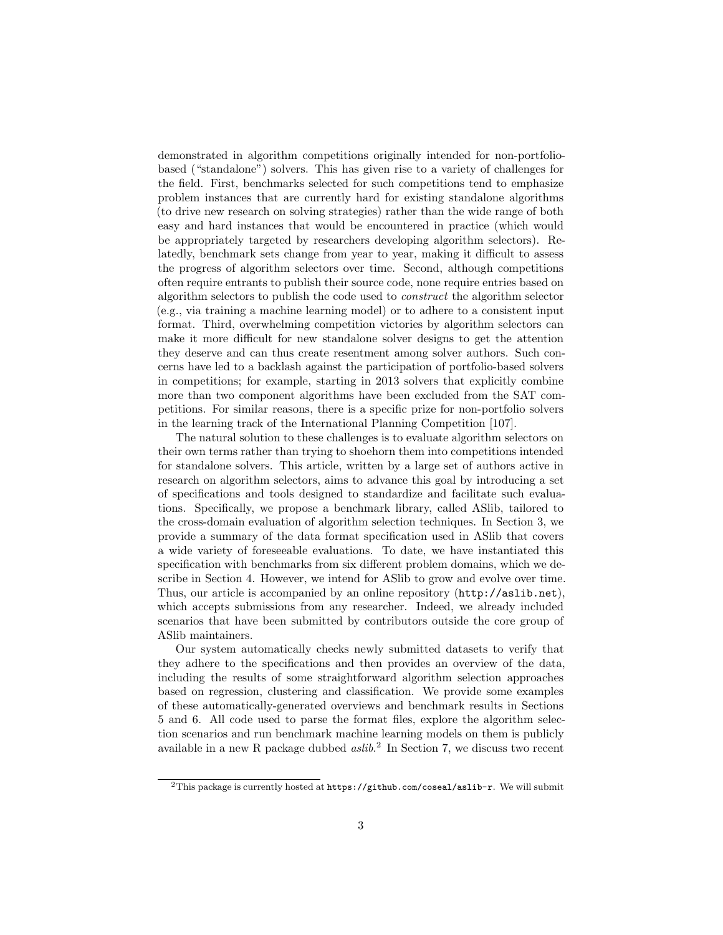demonstrated in algorithm competitions originally intended for non-portfoliobased ("standalone") solvers. This has given rise to a variety of challenges for the field. First, benchmarks selected for such competitions tend to emphasize problem instances that are currently hard for existing standalone algorithms (to drive new research on solving strategies) rather than the wide range of both easy and hard instances that would be encountered in practice (which would be appropriately targeted by researchers developing algorithm selectors). Relatedly, benchmark sets change from year to year, making it difficult to assess the progress of algorithm selectors over time. Second, although competitions often require entrants to publish their source code, none require entries based on algorithm selectors to publish the code used to *construct* the algorithm selector (e.g., via training a machine learning model) or to adhere to a consistent input format. Third, overwhelming competition victories by algorithm selectors can make it more difficult for new standalone solver designs to get the attention they deserve and can thus create resentment among solver authors. Such concerns have led to a backlash against the participation of portfolio-based solvers in competitions; for example, starting in 2013 solvers that explicitly combine more than two component algorithms have been excluded from the SAT competitions. For similar reasons, there is a specific prize for non-portfolio solvers in the learning track of the International Planning Competition [\[107](#page-34-1)].

The natural solution to these challenges is to evaluate algorithm selectors on their own terms rather than trying to shoehorn them into competitions intended for standalone solvers. This article, written by a large set of authors active in research on algorithm selectors, aims to advance this goal by introducing a set of specifications and tools designed to standardize and facilitate such evaluations. Specifically, we propose a benchmark library, called ASlib, tailored to the cross-domain evaluation of algorithm selection techniques. In Section [3](#page-6-0), we provide a summary of the data format specification used in ASlib that covers a wide variety of foreseeable evaluations. To date, we have instantiated this specification with benchmarks from six different problem domains, which we describe in Section [4](#page-8-0). However, we intend for ASlib to grow and evolve over time. Thus, our article is accompanied by an online repository (<http://aslib.net>), which accepts submissions from any researcher. Indeed, we already included scenarios that have been submitted by contributors outside the core group of ASlib maintainers.

Our system automatically checks newly submitted datasets to verify that they adhere to the specifications and then provides an overview of the data, including the results of some straightforward algorithm selection approaches based on regression, clustering and classification. We provide some examples of these automatically-generated overviews and benchmark results in Sections [5](#page-12-0) and [6.](#page-16-0) All code used to parse the format files, explore the algorithm selection scenarios and run benchmark machine learning models on them is publicly available in a new R package dubbed *aslib*. [2](#page-2-0) In Section [7](#page-23-0), we discuss two recent

<span id="page-2-0"></span> $2$ This package is currently hosted at  $https://github.com/coseal/aslib-r.$  $https://github.com/coseal/aslib-r.$  We will submit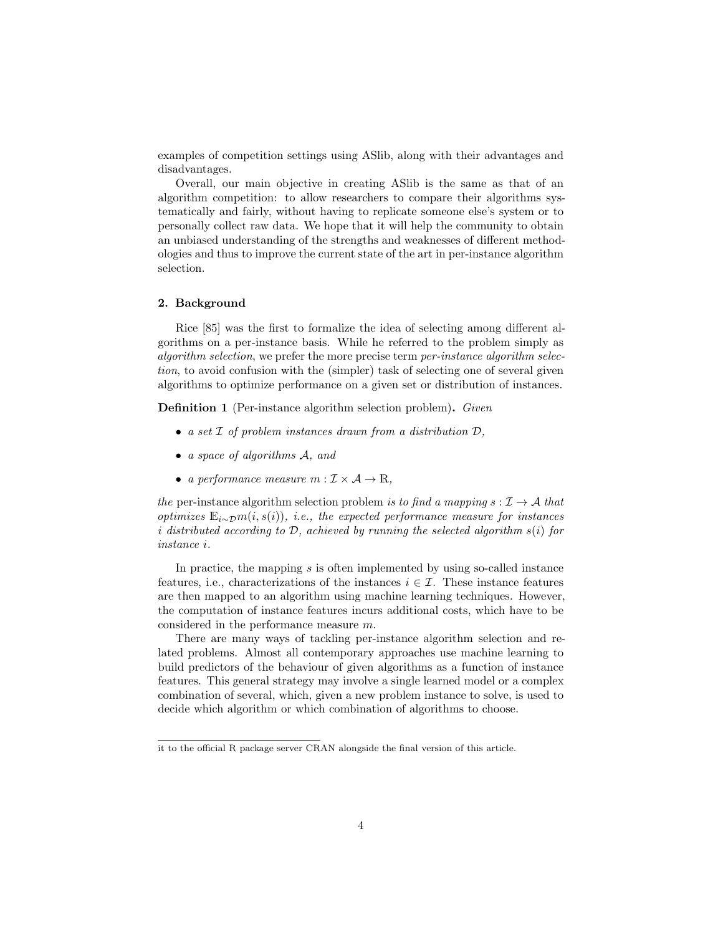examples of competition settings using ASlib, along with their advantages and disadvantages.

Overall, our main objective in creating ASlib is the same as that of an algorithm competition: to allow researchers to compare their algorithms systematically and fairly, without having to replicate someone else's system or to personally collect raw data. We hope that it will help the community to obtain an unbiased understanding of the strengths and weaknesses of different methodologies and thus to improve the current state of the art in per-instance algorithm selection.

#### **2. Background**

Rice [\[85](#page-32-1)] was the first to formalize the idea of selecting among different algorithms on a per-instance basis. While he referred to the problem simply as *algorithm selection*, we prefer the more precise term *per-instance algorithm selection*, to avoid confusion with the (simpler) task of selecting one of several given algorithms to optimize performance on a given set or distribution of instances.

**Definition 1** (Per-instance algorithm selection problem)**.** *Given*

- *• a set I of problem instances drawn from a distribution D,*
- *• a space of algorithms A, and*
- *a performance measure*  $m: \mathcal{I} \times \mathcal{A} \rightarrow \mathbb{R}$ ,

*the* per-instance algorithm selection problem *is to find a mapping*  $s : \mathcal{I} \to \mathcal{A}$  *that optimizes* <sup>E</sup>*<sup>i</sup>∼Dm*(*i, s*(*i*))*, i.e., the expected performance measure for instances i distributed according to D, achieved by running the selected algorithm s*(*i*) *for instance i.*

In practice, the mapping *s* is often implemented by using so-called instance features, i.e., characterizations of the instances  $i \in \mathcal{I}$ . These instance features are then mapped to an algorithm using machine learning techniques. However, the computation of instance features incurs additional costs, which have to be considered in the performance measure *m*.

There are many ways of tackling per-instance algorithm selection and related problems. Almost all contemporary approaches use machine learning to build predictors of the behaviour of given algorithms as a function of instance features. This general strategy may involve a single learned model or a complex combination of several, which, given a new problem instance to solve, is used to decide which algorithm or which combination of algorithms to choose.

it to the official R package server CRAN alongside the final version of this article.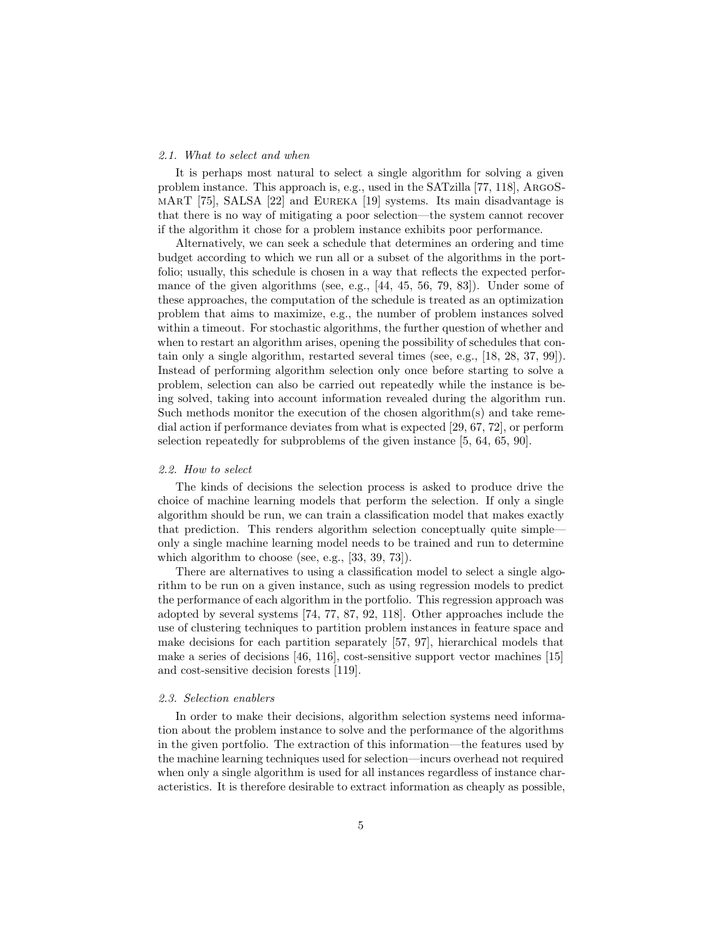#### *2.1. What to select and when*

It is perhaps most natural to select a single algorithm for solving a given problem instance. This approach is, e.g., used in the SATzilla [[77](#page-32-3), [118\]](#page-35-2), ArgoSmArT [[75\]](#page-32-4), SALSA [[22\]](#page-27-1) and Eureka [[19\]](#page-27-2) systems. Its main disadvantage is that there is no way of mitigating a poor selection—the system cannot recover if the algorithm it chose for a problem instance exhibits poor performance.

Alternatively, we can seek a schedule that determines an ordering and time budget according to which we run all or a subset of the algorithms in the portfolio; usually, this schedule is chosen in a way that reflects the expected performance of the given algorithms (see, e.g., [\[44](#page-29-2), [45,](#page-29-1) [56,](#page-30-0) [79](#page-32-0), [83](#page-32-2)]). Under some of these approaches, the computation of the schedule is treated as an optimization problem that aims to maximize, e.g., the number of problem instances solved within a timeout. For stochastic algorithms, the further question of whether and when to restart an algorithm arises, opening the possibility of schedules that contain only a single algorithm, restarted several times (see, e.g., [[18](#page-27-3), [28](#page-28-1), [37,](#page-28-2) [99](#page-33-0)]). Instead of performing algorithm selection only once before starting to solve a problem, selection can also be carried out repeatedly while the instance is being solved, taking into account information revealed during the algorithm run. Such methods monitor the execution of the chosen algorithm(s) and take remedial action if performance deviates from what is expected [[29](#page-28-3), [67](#page-31-1), [72\]](#page-31-2), or perform selection repeatedly for subproblems of the given instance [[5,](#page-26-1) [64](#page-31-3), [65](#page-31-4), [90](#page-33-1)].

#### <span id="page-4-0"></span>*2.2. How to select*

The kinds of decisions the selection process is asked to produce drive the choice of machine learning models that perform the selection. If only a single algorithm should be run, we can train a classification model that makes exactly that prediction. This renders algorithm selection conceptually quite simple only a single machine learning model needs to be trained and run to determine which algorithm to choose (see, e.g., [[33,](#page-28-4) [39,](#page-29-3) [73\]](#page-31-5)).

There are alternatives to using a classification model to select a single algorithm to be run on a given instance, such as using regression models to predict the performance of each algorithm in the portfolio. This regression approach was adopted by several systems [[74,](#page-32-5) [77,](#page-32-3) [87](#page-33-2), [92](#page-33-3), [118](#page-35-2)]. Other approaches include the use of clustering techniques to partition problem instances in feature space and make decisions for each partition separately [[57,](#page-30-1) [97](#page-33-4)], hierarchical models that make a series of decisions [\[46](#page-29-4), [116](#page-35-3)], cost-sensitive support vector machines [[15\]](#page-26-2) and cost-sensitive decision forests [[119](#page-35-4)].

#### *2.3. Selection enablers*

In order to make their decisions, algorithm selection systems need information about the problem instance to solve and the performance of the algorithms in the given portfolio. The extraction of this information—the features used by the machine learning techniques used for selection—incurs overhead not required when only a single algorithm is used for all instances regardless of instance characteristics. It is therefore desirable to extract information as cheaply as possible,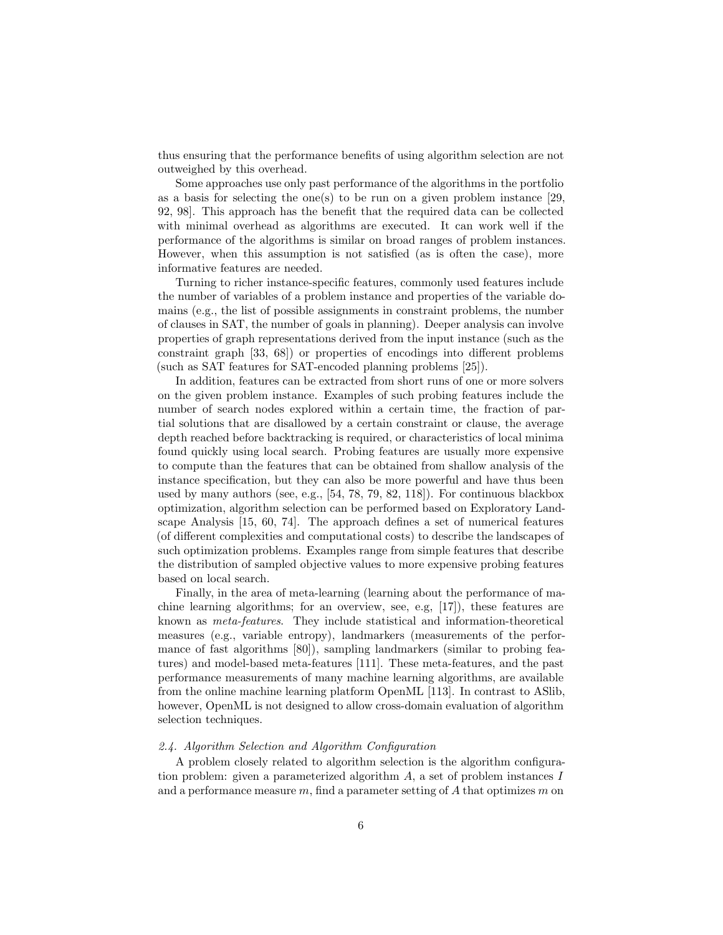thus ensuring that the performance benefits of using algorithm selection are not outweighed by this overhead.

Some approaches use only past performance of the algorithms in the portfolio as a basis for selecting the one(s) to be run on a given problem instance  $[29, 69]$  $[29, 69]$  $[29, 69]$ [92,](#page-33-3) [98](#page-33-5)]. This approach has the benefit that the required data can be collected with minimal overhead as algorithms are executed. It can work well if the performance of the algorithms is similar on broad ranges of problem instances. However, when this assumption is not satisfied (as is often the case), more informative features are needed.

Turning to richer instance-specific features, commonly used features include the number of variables of a problem instance and properties of the variable domains (e.g., the list of possible assignments in constraint problems, the number of clauses in SAT, the number of goals in planning). Deeper analysis can involve properties of graph representations derived from the input instance (such as the constraint graph [[33,](#page-28-4) [68](#page-31-6)]) or properties of encodings into different problems (such as SAT features for SAT-encoded planning problems [[25](#page-27-4)]).

In addition, features can be extracted from short runs of one or more solvers on the given problem instance. Examples of such probing features include the number of search nodes explored within a certain time, the fraction of partial solutions that are disallowed by a certain constraint or clause, the average depth reached before backtracking is required, or characteristics of local minima found quickly using local search. Probing features are usually more expensive to compute than the features that can be obtained from shallow analysis of the instance specification, but they can also be more powerful and have thus been used by many authors (see, e.g., [\[54](#page-30-2), [78](#page-32-6), [79](#page-32-0), [82](#page-32-7), [118\]](#page-35-2)). For continuous blackbox optimization, algorithm selection can be performed based on Exploratory Landscape Analysis [[15,](#page-26-2) [60,](#page-30-3) [74\]](#page-32-5). The approach defines a set of numerical features (of different complexities and computational costs) to describe the landscapes of such optimization problems. Examples range from simple features that describe the distribution of sampled objective values to more expensive probing features based on local search.

Finally, in the area of meta-learning (learning about the performance of machine learning algorithms; for an overview, see, e.g, [\[17](#page-27-5)]), these features are known as *meta-features*. They include statistical and information-theoretical measures (e.g., variable entropy), landmarkers (measurements of the performance of fast algorithms [[80\]](#page-32-8)), sampling landmarkers (similar to probing features) and model-based meta-features [\[111](#page-34-2)]. These meta-features, and the past performance measurements of many machine learning algorithms, are available from the online machine learning platform OpenML [[113\]](#page-35-5). In contrast to ASlib, however, OpenML is not designed to allow cross-domain evaluation of algorithm selection techniques.

### *2.4. Algorithm Selection and Algorithm Configuration*

A problem closely related to algorithm selection is the algorithm configuration problem: given a parameterized algorithm *A*, a set of problem instances *I* and a performance measure *m*, find a parameter setting of *A* that optimizes *m* on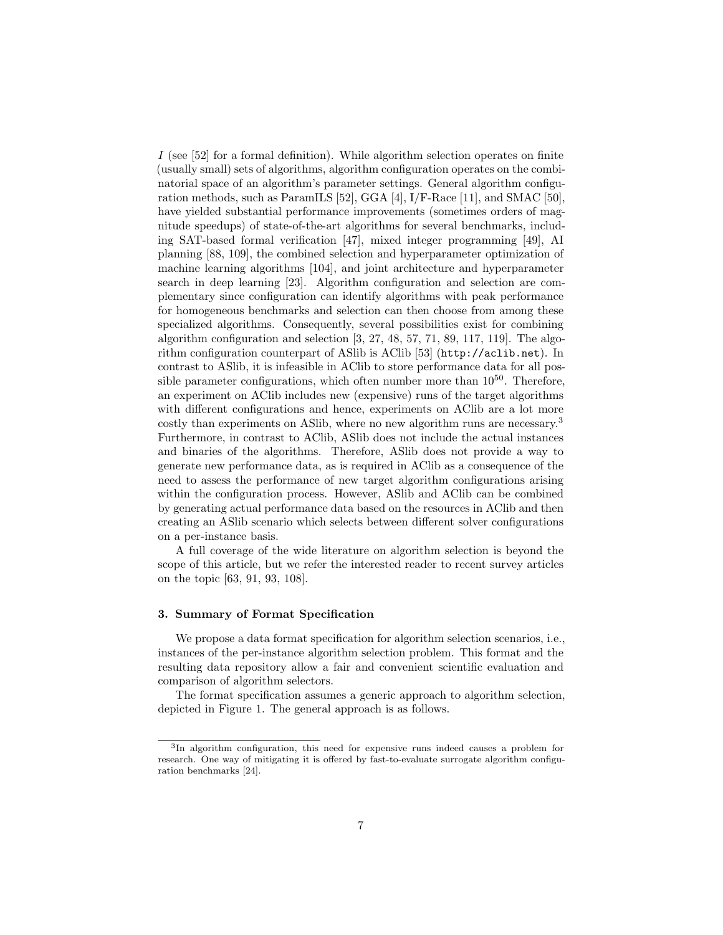*I* (see [[52\]](#page-30-4) for a formal definition). While algorithm selection operates on finite (usually small) sets of algorithms, algorithm configuration operates on the combinatorial space of an algorithm's parameter settings. General algorithm configuration methods, such as ParamILS [\[52](#page-30-4)], GGA [[4\]](#page-26-3), I/F-Race [\[11](#page-26-4)], and SMAC [\[50](#page-30-5)], have yielded substantial performance improvements (sometimes orders of magnitude speedups) of state-of-the-art algorithms for several benchmarks, including SAT-based formal verification [[47\]](#page-29-5), mixed integer programming [[49\]](#page-29-6), AI planning [[88](#page-33-6), [109\]](#page-34-3), the combined selection and hyperparameter optimization of machine learning algorithms [[104\]](#page-34-0), and joint architecture and hyperparameter search in deep learning [\[23](#page-27-6)]. Algorithm configuration and selection are complementary since configuration can identify algorithms with peak performance for homogeneous benchmarks and selection can then choose from among these specialized algorithms. Consequently, several possibilities exist for combining algorithm configuration and selection  $[3, 27, 48, 57, 71, 89, 117, 119]$  $[3, 27, 48, 57, 71, 89, 117, 119]$  $[3, 27, 48, 57, 71, 89, 117, 119]$  $[3, 27, 48, 57, 71, 89, 117, 119]$  $[3, 27, 48, 57, 71, 89, 117, 119]$  $[3, 27, 48, 57, 71, 89, 117, 119]$  $[3, 27, 48, 57, 71, 89, 117, 119]$  $[3, 27, 48, 57, 71, 89, 117, 119]$  $[3, 27, 48, 57, 71, 89, 117, 119]$  $[3, 27, 48, 57, 71, 89, 117, 119]$  $[3, 27, 48, 57, 71, 89, 117, 119]$  $[3, 27, 48, 57, 71, 89, 117, 119]$  $[3, 27, 48, 57, 71, 89, 117, 119]$  $[3, 27, 48, 57, 71, 89, 117, 119]$  $[3, 27, 48, 57, 71, 89, 117, 119]$  $[3, 27, 48, 57, 71, 89, 117, 119]$ . The algorithm configuration counterpart of ASlib is AClib [[53](#page-30-6)] (<http://aclib.net>). In contrast to ASlib, it is infeasible in AClib to store performance data for all possible parameter configurations, which often number more than  $10^{50}$ . Therefore, an experiment on AClib includes new (expensive) runs of the target algorithms with different configurations and hence, experiments on AClib are a lot more costly than experiments on ASlib, where no new algorithm runs are necessary.<sup>[3](#page-6-1)</sup> Furthermore, in contrast to AClib, ASlib does not include the actual instances and binaries of the algorithms. Therefore, ASlib does not provide a way to generate new performance data, as is required in AClib as a consequence of the need to assess the performance of new target algorithm configurations arising within the configuration process. However, ASlib and AClib can be combined by generating actual performance data based on the resources in AClib and then creating an ASlib scenario which selects between different solver configurations on a per-instance basis.

A full coverage of the wide literature on algorithm selection is beyond the scope of this article, but we refer the interested reader to recent survey articles on the topic [\[63](#page-31-7), [91](#page-33-8), [93,](#page-33-9) [108\]](#page-34-4).

### <span id="page-6-0"></span>**3. Summary of Format Specification**

We propose a data format specification for algorithm selection scenarios, i.e., instances of the per-instance algorithm selection problem. This format and the resulting data repository allow a fair and convenient scientific evaluation and comparison of algorithm selectors.

The format specification assumes a generic approach to algorithm selection, depicted in Figure [1.](#page-7-0) The general approach is as follows.

<span id="page-6-1"></span><sup>3</sup> In algorithm configuration, this need for expensive runs indeed causes a problem for research. One way of mitigating it is offered by fast-to-evaluate surrogate algorithm configuration benchmarks [[24](#page-27-7)].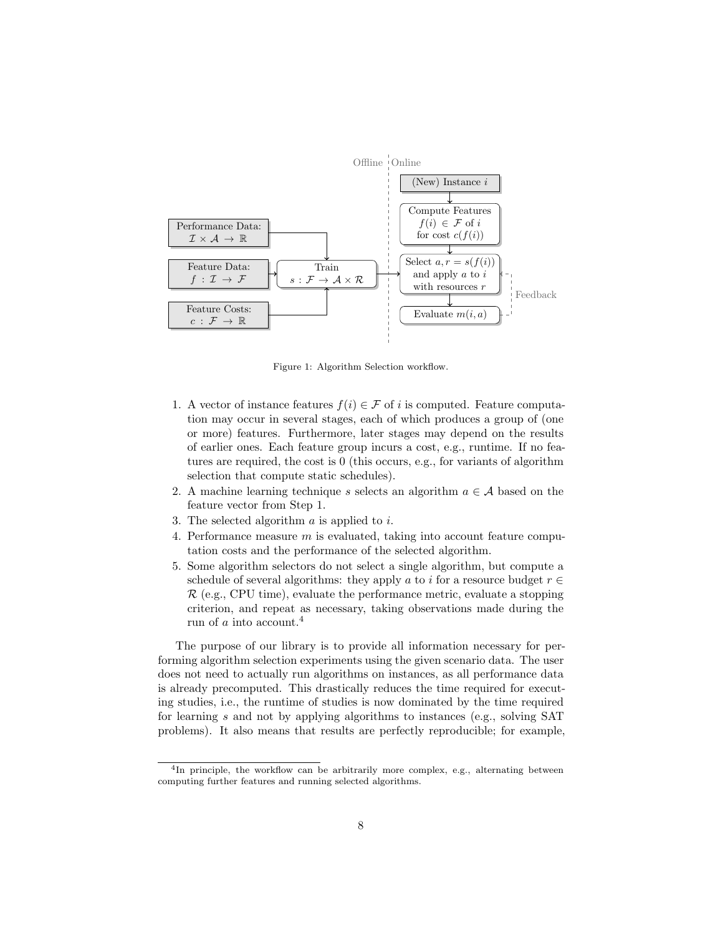<span id="page-7-0"></span>

Figure 1: Algorithm Selection workflow.

- 1. A vector of instance features  $f(i) \in \mathcal{F}$  of *i* is computed. Feature computation may occur in several stages, each of which produces a group of (one or more) features. Furthermore, later stages may depend on the results of earlier ones. Each feature group incurs a cost, e.g., runtime. If no features are required, the cost is 0 (this occurs, e.g., for variants of algorithm selection that compute static schedules).
- 2. A machine learning technique *s* selects an algorithm  $a \in \mathcal{A}$  based on the feature vector from Step 1.
- 3. The selected algorithm *a* is applied to *i*.
- 4. Performance measure *m* is evaluated, taking into account feature computation costs and the performance of the selected algorithm.
- 5. Some algorithm selectors do not select a single algorithm, but compute a schedule of several algorithms: they apply *a* to *i* for a resource budget  $r \in$  $\mathcal{R}$  (e.g., CPU time), evaluate the performance metric, evaluate a stopping criterion, and repeat as necessary, taking observations made during the run of *a* into account.[4](#page-7-1)

The purpose of our library is to provide all information necessary for performing algorithm selection experiments using the given scenario data. The user does not need to actually run algorithms on instances, as all performance data is already precomputed. This drastically reduces the time required for executing studies, i.e., the runtime of studies is now dominated by the time required for learning *s* and not by applying algorithms to instances (e.g., solving SAT problems). It also means that results are perfectly reproducible; for example,

<span id="page-7-1"></span><sup>&</sup>lt;sup>4</sup>In principle, the workflow can be arbitrarily more complex, e.g., alternating between computing further features and running selected algorithms.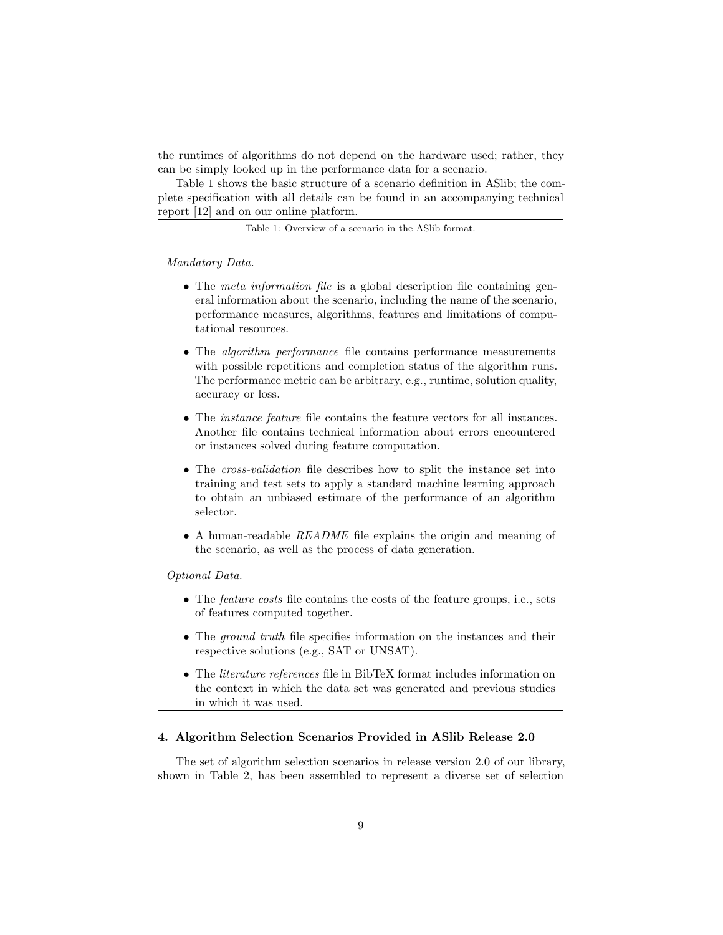the runtimes of algorithms do not depend on the hardware used; rather, they can be simply looked up in the performance data for a scenario.

Table [1](#page-8-1) shows the basic structure of a scenario definition in ASlib; the complete specification with all details can be found in an accompanying technical report [[12\]](#page-26-5) and on our online platform.

<span id="page-8-1"></span>

| Table 1: Overview of a scenario in the ASI ib format.                                                                                                                                                                                                 |
|-------------------------------------------------------------------------------------------------------------------------------------------------------------------------------------------------------------------------------------------------------|
| Mandatory Data.                                                                                                                                                                                                                                       |
| • The meta information file is a global description file containing gen-<br>eral information about the scenario, including the name of the scenario,<br>performance measures, algorithms, features and limitations of compu-<br>tational resources.   |
| • The <i>algorithm performance</i> file contains performance measurements<br>with possible repetitions and completion status of the algorithm runs.<br>The performance metric can be arbitrary, e.g., runtime, solution quality,<br>accuracy or loss. |
| • The <i>instance feature</i> file contains the feature vectors for all instances.<br>Another file contains technical information about errors encountered<br>or instances solved during feature computation.                                         |
| The <i>cross-validation</i> file describes how to split the instance set into<br>training and test sets to apply a standard machine learning approach<br>to obtain an unbiased estimate of the performance of an algorithm<br>selector.               |
| • A human-readable $README$ file explains the origin and meaning of<br>the scenario, as well as the process of data generation.                                                                                                                       |
| Optional Data.                                                                                                                                                                                                                                        |
| $\bullet$ The <i>feature costs</i> file contains the costs of the feature groups, i.e., sets<br>of features computed together.                                                                                                                        |
| $\bullet$ The ground truth file specifies information on the instances and their                                                                                                                                                                      |

- respective solutions (e.g., SAT or UNSAT). *•* The *literature references* file in BibTeX format includes information on the context in which the data set was generated and previous studies
	- in which it was used.

# <span id="page-8-0"></span>**4. Algorithm Selection Scenarios Provided in ASlib Release 2.0**

The set of algorithm selection scenarios in release version 2.0 of our library, shown in Table [2](#page-9-0), has been assembled to represent a diverse set of selection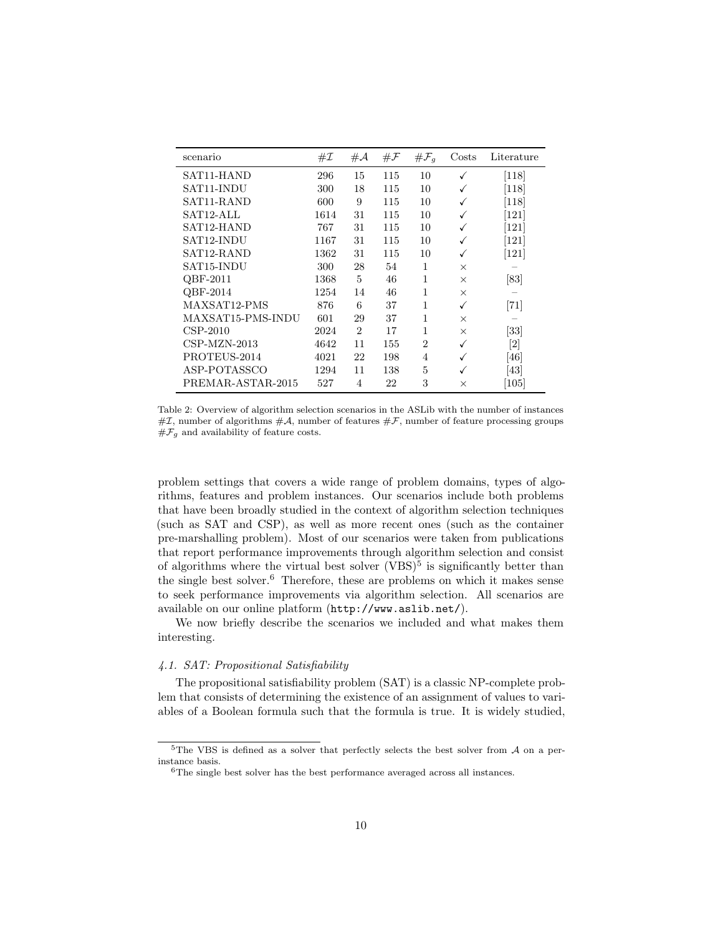<span id="page-9-0"></span>

| scenario                | #I   | # $\mathcal{A}$ | #F  | $\# \mathcal{F}_g$ | Costs    | Literature                   |
|-------------------------|------|-----------------|-----|--------------------|----------|------------------------------|
| SAT11-HAND              | 296  | 15              | 115 | 10                 | √        | [118]                        |
| SAT11-INDU              | 300  | 18              | 115 | 10                 | ✓        | [118]                        |
| SAT11-RAND              | 600  | 9               | 115 | 10                 | ✓        | [118]                        |
| SAT12-ALL               | 1614 | 31              | 115 | 10                 | ✓        | $[121]$                      |
| SAT <sub>12</sub> -HAND | 767  | 31              | 115 | 10                 | √        | $[121]$                      |
| SAT12-INDU              | 1167 | 31              | 115 | 10                 | √        | $[121]$                      |
| SAT12-RAND              | 1362 | 31              | 115 | 10                 | ✓        | $[121]$                      |
| SAT15-INDU              | 300  | 28              | 54  | 1                  | $\times$ |                              |
| QBF-2011                | 1368 | 5               | 46  | 1                  | X        | [83]                         |
| QBF-2014                | 1254 | 14              | 46  | 1                  | $\times$ |                              |
| MAXSAT12-PMS            | 876  | 6               | 37  | 1                  | ✓        | $\left\lceil 71\right\rceil$ |
| MAXSAT15-PMS-INDU       | 601  | 29              | 37  | 1                  | $\times$ |                              |
| $CSP-2010$              | 2024 | $\overline{2}$  | 17  | 1                  | X        | $\left[ 33\right]$           |
| $CSP-MZN-2013$          | 4642 | 11              | 155 | $\overline{2}$     | ✓        | $\left\lceil 2 \right\rceil$ |
| PROTEUS-2014            | 4021 | 22              | 198 | 4                  | ✓        | [46]                         |
| ASP-POTASSCO            | 1294 | 11              | 138 | 5                  | ✓        | [43]                         |
| PREMAR-ASTAR-2015       | 527  | 4               | 22  | 3                  | ×        | <b>105</b>                   |

Table 2: Overview of algorithm selection scenarios in the ASLib with the number of instances  $\#I$ , number of algorithms  $\#A$ , number of features  $\#F$ , number of feature processing groups  $#F_g$  and availability of feature costs.

problem settings that covers a wide range of problem domains, types of algorithms, features and problem instances. Our scenarios include both problems that have been broadly studied in the context of algorithm selection techniques (such as SAT and CSP), as well as more recent ones (such as the container pre-marshalling problem). Most of our scenarios were taken from publications that report performance improvements through algorithm selection and consist of algorithms where the virtual best solver (VBS)<sup>[5](#page-9-1)</sup> is significantly better than the single best solver.<sup>[6](#page-9-2)</sup> Therefore, these are problems on which it makes sense to seek performance improvements via algorithm selection. All scenarios are available on our online platform (<http://www.aslib.net/>).

We now briefly describe the scenarios we included and what makes them interesting.

### *4.1. SAT: Propositional Satisfiability*

The propositional satisfiability problem (SAT) is a classic NP-complete problem that consists of determining the existence of an assignment of values to variables of a Boolean formula such that the formula is true. It is widely studied,

<span id="page-9-1"></span><sup>5</sup>The VBS is defined as a solver that perfectly selects the best solver from *<sup>A</sup>* on a perinstance basis.

<span id="page-9-2"></span> ${}^{6} \mathrm{The}$  single best solver has the best performance averaged across all instances.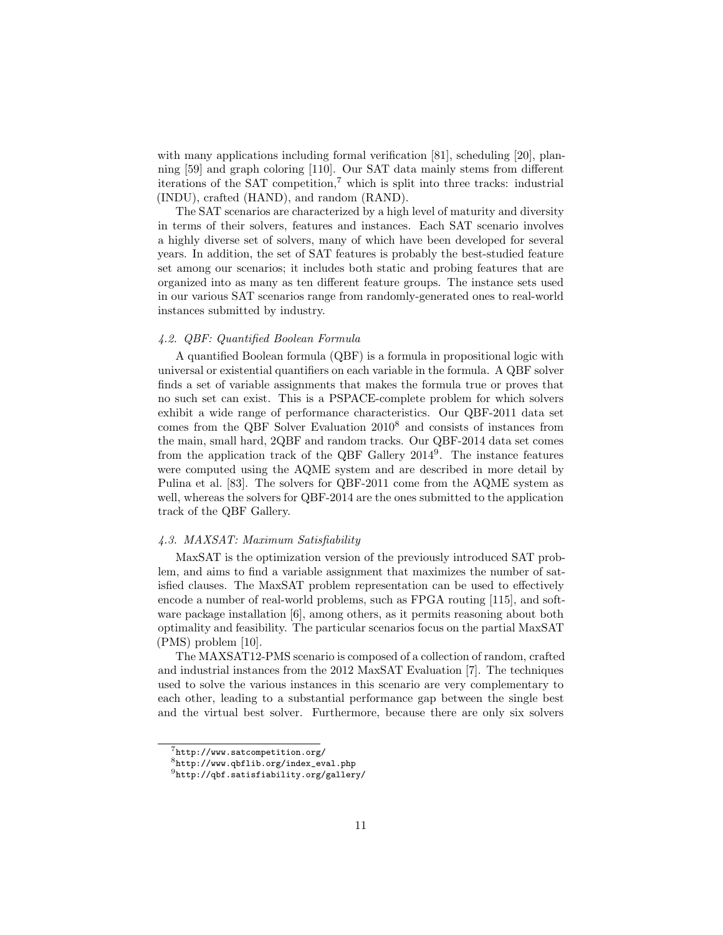with many applications including formal verification [[81\]](#page-32-9), scheduling [\[20](#page-27-8)], planning [[59\]](#page-30-7) and graph coloring [\[110](#page-34-6)]. Our SAT data mainly stems from different iterations of the SAT competition,<sup>[7](#page-10-0)</sup> which is split into three tracks: industrial (INDU), crafted (HAND), and random (RAND).

The SAT scenarios are characterized by a high level of maturity and diversity in terms of their solvers, features and instances. Each SAT scenario involves a highly diverse set of solvers, many of which have been developed for several years. In addition, the set of SAT features is probably the best-studied feature set among our scenarios; it includes both static and probing features that are organized into as many as ten different feature groups. The instance sets used in our various SAT scenarios range from randomly-generated ones to real-world instances submitted by industry.

#### *4.2. QBF: Quantified Boolean Formula*

A quantified Boolean formula (QBF) is a formula in propositional logic with universal or existential quantifiers on each variable in the formula. A QBF solver finds a set of variable assignments that makes the formula true or proves that no such set can exist. This is a PSPACE-complete problem for which solvers exhibit a wide range of performance characteristics. Our QBF-2011 data set comes from the QBF Solver Evaluation 2010[8](#page-10-1) and consists of instances from the main, small hard, 2QBF and random tracks. Our QBF-2014 data set comes from the application track of the QBF Gallery 2014<sup>[9](#page-10-2)</sup>. The instance features were computed using the AQME system and are described in more detail by Pulina et al. [[83\]](#page-32-2). The solvers for QBF-2011 come from the AQME system as well, whereas the solvers for QBF-2014 are the ones submitted to the application track of the QBF Gallery.

### *4.3. MAXSAT: Maximum Satisfiability*

MaxSAT is the optimization version of the previously introduced SAT problem, and aims to find a variable assignment that maximizes the number of satisfied clauses. The MaxSAT problem representation can be used to effectively encode a number of real-world problems, such as FPGA routing [[115](#page-35-8)], and software package installation [\[6](#page-26-6)], among others, as it permits reasoning about both optimality and feasibility. The particular scenarios focus on the partial MaxSAT (PMS) problem [[10\]](#page-26-7).

The MAXSAT12-PMS scenario is composed of a collection of random, crafted and industrial instances from the 2012 MaxSAT Evaluation [[7](#page-26-8)]. The techniques used to solve the various instances in this scenario are very complementary to each other, leading to a substantial performance gap between the single best and the virtual best solver. Furthermore, because there are only six solvers

<span id="page-10-0"></span><sup>7</sup><http://www.satcompetition.org/>

<span id="page-10-1"></span><sup>8</sup>[http://www.qbflib.org/index\\_eval.php](http://www.qbflib.org/index_eval.php)

<span id="page-10-2"></span> $^9$  <http://qbf.satisfiability.org/gallery/>  $\,$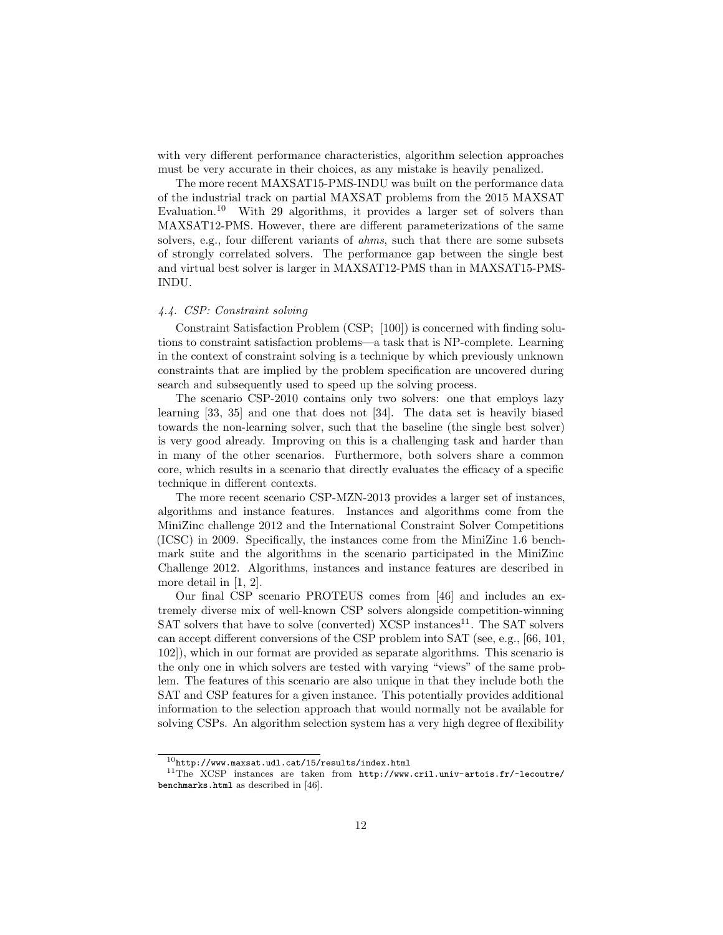with very different performance characteristics, algorithm selection approaches must be very accurate in their choices, as any mistake is heavily penalized.

The more recent MAXSAT15-PMS-INDU was built on the performance data of the industrial track on partial MAXSAT problems from the 2015 MAXSAT Evaluation.[10](#page-11-0) With 29 algorithms, it provides a larger set of solvers than MAXSAT12-PMS. However, there are different parameterizations of the same solvers, e.g., four different variants of *ahms*, such that there are some subsets of strongly correlated solvers. The performance gap between the single best and virtual best solver is larger in MAXSAT12-PMS than in MAXSAT15-PMS-INDU.

#### *4.4. CSP: Constraint solving*

Constraint Satisfaction Problem (CSP; [[100\]](#page-34-7)) is concerned with finding solutions to constraint satisfaction problems—a task that is NP-complete. Learning in the context of constraint solving is a technique by which previously unknown constraints that are implied by the problem specification are uncovered during search and subsequently used to speed up the solving process.

The scenario CSP-2010 contains only two solvers: one that employs lazy learning [[33,](#page-28-4) [35](#page-28-6)] and one that does not [\[34](#page-28-7)]. The data set is heavily biased towards the non-learning solver, such that the baseline (the single best solver) is very good already. Improving on this is a challenging task and harder than in many of the other scenarios. Furthermore, both solvers share a common core, which results in a scenario that directly evaluates the efficacy of a specific technique in different contexts.

The more recent scenario CSP-MZN-2013 provides a larger set of instances, algorithms and instance features. Instances and algorithms come from the MiniZinc challenge 2012 and the International Constraint Solver Competitions (ICSC) in 2009. Specifically, the instances come from the MiniZinc 1*.*6 benchmark suite and the algorithms in the scenario participated in the MiniZinc Challenge 2012. Algorithms, instances and instance features are described in more detail in [[1,](#page-25-2) [2\]](#page-25-1).

Our final CSP scenario PROTEUS comes from [[46\]](#page-29-4) and includes an extremely diverse mix of well-known CSP solvers alongside competition-winning SAT solvers that have to solve (converted)  $XCSP$  instances<sup>[11](#page-11-1)</sup>. The SAT solvers can accept different conversions of the CSP problem into SAT (see, e.g., [[66,](#page-31-8) [101](#page-34-8), [102\]](#page-34-9)), which in our format are provided as separate algorithms. This scenario is the only one in which solvers are tested with varying "views" of the same problem. The features of this scenario are also unique in that they include both the SAT and CSP features for a given instance. This potentially provides additional information to the selection approach that would normally not be available for solving CSPs. An algorithm selection system has a very high degree of flexibility

<span id="page-11-1"></span><span id="page-11-0"></span> $^{10}\mathrm{http://www.maxsat.udl.cat/15/results/index.html}$  $^{10}\mathrm{http://www.maxsat.udl.cat/15/results/index.html}$  $^{10}\mathrm{http://www.maxsat.udl.cat/15/results/index.html}$ 

<sup>11</sup>The XCSP instances are taken from [http://www.cril.univ-artois.fr/~lecoutre/](http://www.cril.univ-artois.fr/~lecoutre/benchmarks.html) [benchmarks.html](http://www.cril.univ-artois.fr/~lecoutre/benchmarks.html) as described in [\[46\]](#page-29-4).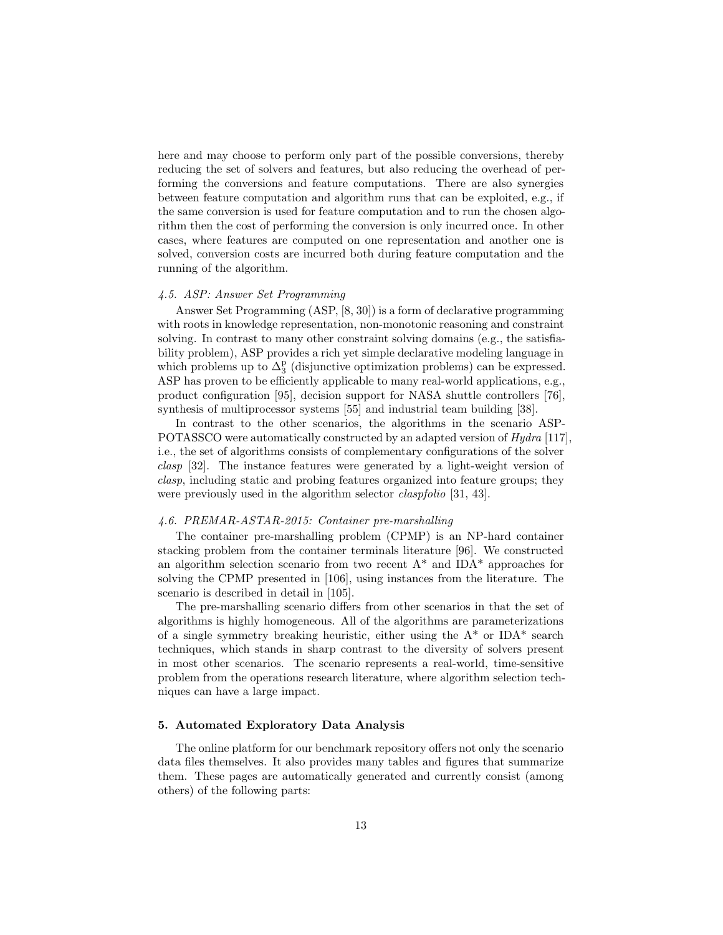here and may choose to perform only part of the possible conversions, thereby reducing the set of solvers and features, but also reducing the overhead of performing the conversions and feature computations. There are also synergies between feature computation and algorithm runs that can be exploited, e.g., if the same conversion is used for feature computation and to run the chosen algorithm then the cost of performing the conversion is only incurred once. In other cases, where features are computed on one representation and another one is solved, conversion costs are incurred both during feature computation and the running of the algorithm.

### *4.5. ASP: Answer Set Programming*

Answer Set Programming (ASP, [[8,](#page-26-9) [30\]](#page-28-8)) is a form of declarative programming with roots in knowledge representation, non-monotonic reasoning and constraint solving. In contrast to many other constraint solving domains (e.g., the satisfiability problem), ASP provides a rich yet simple declarative modeling language in which problems up to  $\Delta_3^p$  (disjunctive optimization problems) can be expressed. ASP has proven to be efficiently applicable to many real-world applications, e.g., product configuration [\[95](#page-33-10)], decision support for NASA shuttle controllers [\[76](#page-32-10)], synthesis of multiprocessor systems [[55\]](#page-30-8) and industrial team building [\[38](#page-28-9)].

In contrast to the other scenarios, the algorithms in the scenario ASP-POTASSCO were automatically constructed by an adapted version of *Hydra* [\[117\]](#page-35-6), i.e., the set of algorithms consists of complementary configurations of the solver *clasp* [\[32](#page-28-10)]. The instance features were generated by a light-weight version of *clasp*, including static and probing features organized into feature groups; they were previously used in the algorithm selector *claspfolio* [\[31](#page-28-0), [43](#page-29-8)].

#### *4.6. PREMAR-ASTAR-2015: Container pre-marshalling*

The container pre-marshalling problem (CPMP) is an NP-hard container stacking problem from the container terminals literature [\[96](#page-33-11)]. We constructed an algorithm selection scenario from two recent  $A^*$  and IDA\* approaches for solving the CPMP presented in [[106\]](#page-34-10), using instances from the literature. The scenario is described in detail in [[105\]](#page-34-5).

The pre-marshalling scenario differs from other scenarios in that the set of algorithms is highly homogeneous. All of the algorithms are parameterizations of a single symmetry breaking heuristic, either using the  $A^*$  or IDA\* search techniques, which stands in sharp contrast to the diversity of solvers present in most other scenarios. The scenario represents a real-world, time-sensitive problem from the operations research literature, where algorithm selection techniques can have a large impact.

#### <span id="page-12-0"></span>**5. Automated Exploratory Data Analysis**

The online platform for our benchmark repository offers not only the scenario data files themselves. It also provides many tables and figures that summarize them. These pages are automatically generated and currently consist (among others) of the following parts: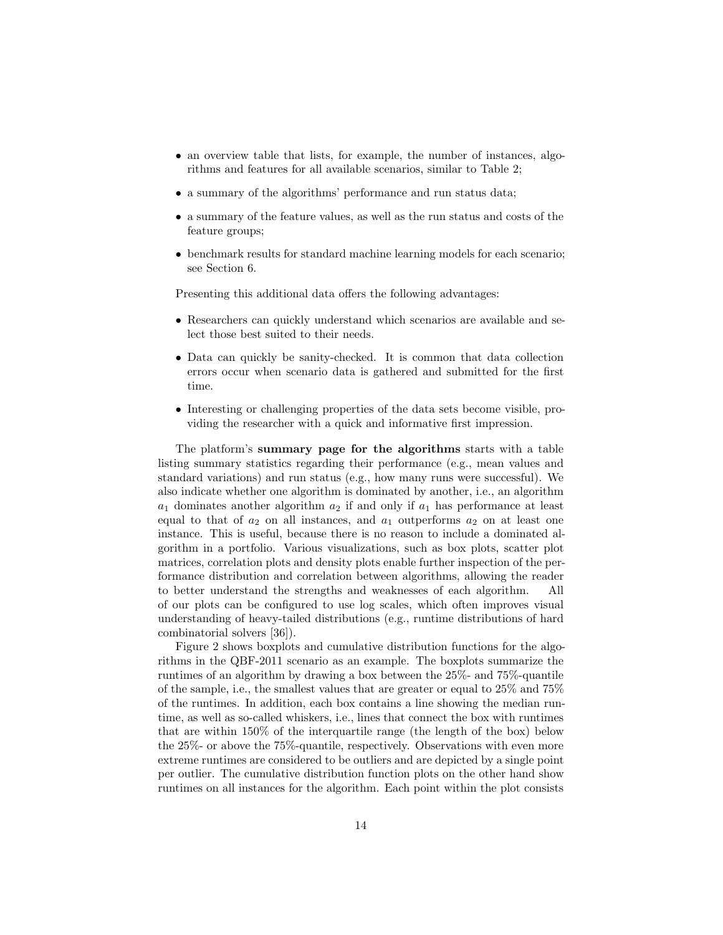- an overview table that lists, for example, the number of instances, algorithms and features for all available scenarios, similar to Table [2](#page-9-0);
- a summary of the algorithms' performance and run status data;
- *•* a summary of the feature values, as well as the run status and costs of the feature groups;
- benchmark results for standard machine learning models for each scenario; see Section [6.](#page-16-0)

Presenting this additional data offers the following advantages:

- Researchers can quickly understand which scenarios are available and select those best suited to their needs.
- Data can quickly be sanity-checked. It is common that data collection errors occur when scenario data is gathered and submitted for the first time.
- *•* Interesting or challenging properties of the data sets become visible, providing the researcher with a quick and informative first impression.

The platform's **summary page for the algorithms** starts with a table listing summary statistics regarding their performance (e.g., mean values and standard variations) and run status (e.g., how many runs were successful). We also indicate whether one algorithm is dominated by another, i.e., an algorithm *a*<sup>1</sup> dominates another algorithm *a*<sup>2</sup> if and only if *a*<sup>1</sup> has performance at least equal to that of  $a_2$  on all instances, and  $a_1$  outperforms  $a_2$  on at least one instance. This is useful, because there is no reason to include a dominated algorithm in a portfolio. Various visualizations, such as box plots, scatter plot matrices, correlation plots and density plots enable further inspection of the performance distribution and correlation between algorithms, allowing the reader to better understand the strengths and weaknesses of each algorithm. All of our plots can be configured to use log scales, which often improves visual understanding of heavy-tailed distributions (e.g., runtime distributions of hard combinatorial solvers [[36\]](#page-28-11)).

Figure [2](#page-14-0) shows boxplots and cumulative distribution functions for the algorithms in the QBF-2011 scenario as an example. The boxplots summarize the runtimes of an algorithm by drawing a box between the 25%- and 75%-quantile of the sample, i.e., the smallest values that are greater or equal to 25% and 75% of the runtimes. In addition, each box contains a line showing the median runtime, as well as so-called whiskers, i.e., lines that connect the box with runtimes that are within 150% of the interquartile range (the length of the box) below the 25%- or above the 75%-quantile, respectively. Observations with even more extreme runtimes are considered to be outliers and are depicted by a single point per outlier. The cumulative distribution function plots on the other hand show runtimes on all instances for the algorithm. Each point within the plot consists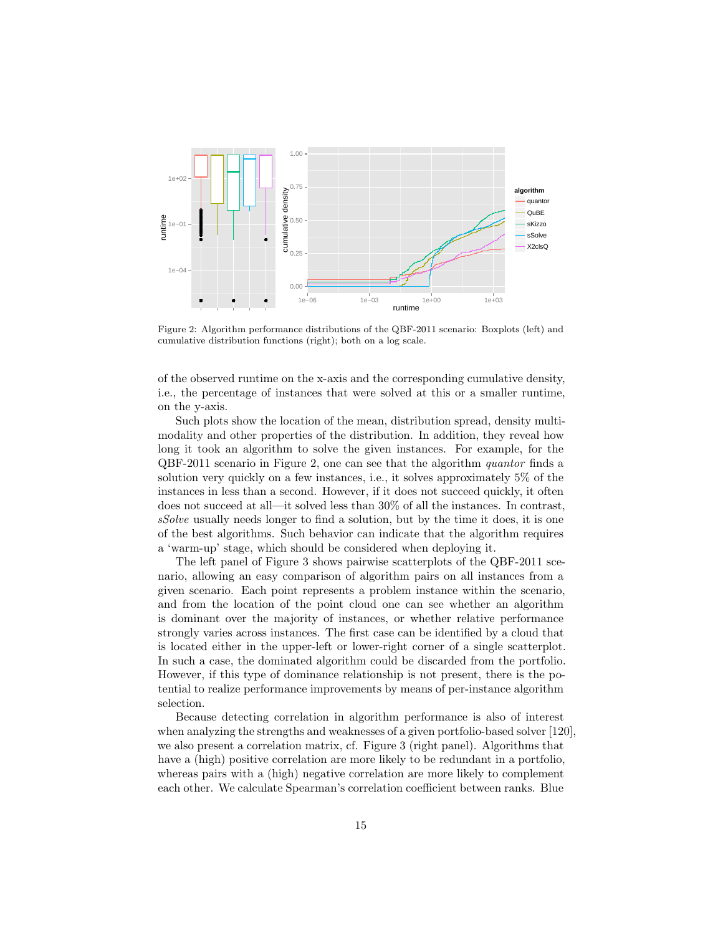<span id="page-14-0"></span>

Figure 2: Algorithm performance distributions of the QBF-2011 scenario: Boxplots (left) and cumulative distribution functions (right); both on a log scale.

of the observed runtime on the x-axis and the corresponding cumulative density, i.e., the percentage of instances that were solved at this or a smaller runtime, on the y-axis.

Such plots show the location of the mean, distribution spread, density multimodality and other properties of the distribution. In addition, they reveal how long it took an algorithm to solve the given instances. For example, for the QBF-2011 scenario in Figure [2](#page-14-0), one can see that the algorithm *quantor* finds a solution very quickly on a few instances, i.e., it solves approximately 5% of the instances in less than a second. However, if it does not succeed quickly, it often does not succeed at all—it solved less than 30% of all the instances. In contrast, *sSolve* usually needs longer to find a solution, but by the time it does, it is one of the best algorithms. Such behavior can indicate that the algorithm requires a 'warm-up' stage, which should be considered when deploying it.

The left panel of Figure [3](#page-15-0) shows pairwise scatterplots of the QBF-2011 scenario, allowing an easy comparison of algorithm pairs on all instances from a given scenario. Each point represents a problem instance within the scenario, and from the location of the point cloud one can see whether an algorithm is dominant over the majority of instances, or whether relative performance strongly varies across instances. The first case can be identified by a cloud that is located either in the upper-left or lower-right corner of a single scatterplot. In such a case, the dominated algorithm could be discarded from the portfolio. However, if this type of dominance relationship is not present, there is the potential to realize performance improvements by means of per-instance algorithm selection.

Because detecting correlation in algorithm performance is also of interest when analyzing the strengths and weaknesses of a given portfolio-based solver [[120\]](#page-35-0), we also present a correlation matrix, cf. Figure [3](#page-15-0) (right panel). Algorithms that have a (high) positive correlation are more likely to be redundant in a portfolio, whereas pairs with a (high) negative correlation are more likely to complement each other. We calculate Spearman's correlation coefficient between ranks. Blue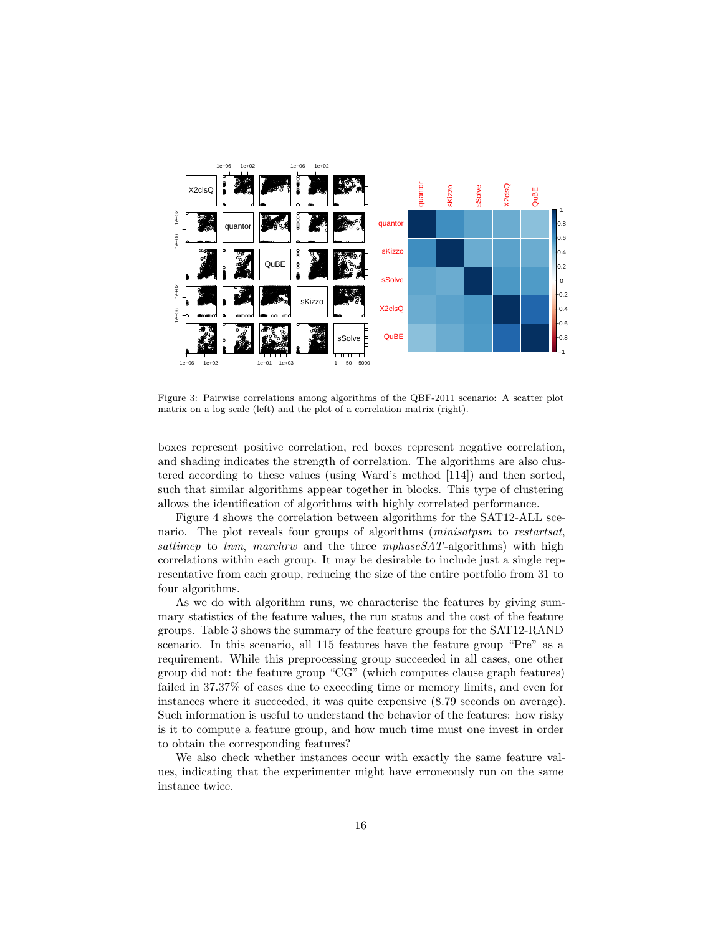<span id="page-15-0"></span>

Figure 3: Pairwise correlations among algorithms of the QBF-2011 scenario: A scatter plot matrix on a log scale (left) and the plot of a correlation matrix (right).

boxes represent positive correlation, red boxes represent negative correlation, and shading indicates the strength of correlation. The algorithms are also clustered according to these values (using Ward's method [114]) and then sorted. such that similar algorithms appear together in blocks. This type of clustering allows the identification of algorithms with highly correlated performance.

Figure 4 shows the correlation between algorithms for the SAT12-ALL scenario. The plot reveals four groups of algorithms (*minisatpsm* to *restartsat*, sattimep to tnm, marchrw and the three mphaseSAT-algorithms) with high correlations within each group. It may be desirable to include just a single representative from each group, reducing the size of the entire portfolio from 31 to four algorithms.

As we do with algorithm runs, we characterise the features by giving summary statistics of the feature values, the run status and the cost of the feature groups. Table 3 shows the summary of the feature groups for the SAT12-RAND scenario. In this scenario, all 115 features have the feature group "Pre" as a requirement. While this preprocessing group succeeded in all cases, one other group did not: the feature group "CG" (which computes clause graph features) failed in 37.37% of cases due to exceeding time or memory limits, and even for instances where it succeeded, it was quite expensive (8.79 seconds on average). Such information is useful to understand the behavior of the features: how risky is it to compute a feature group, and how much time must one invest in order to obtain the corresponding features?

We also check whether instances occur with exactly the same feature values, indicating that the experimenter might have erroneously run on the same instance twice.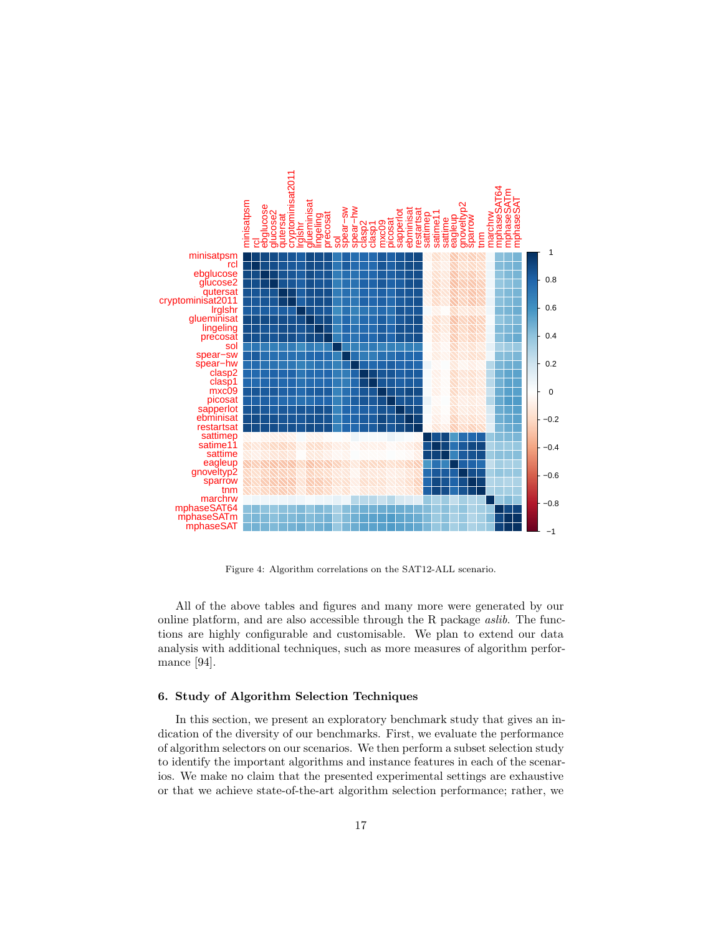<span id="page-16-1"></span>

Figure 4: Algorithm correlations on the SAT12-ALL scenario.

All of the above tables and figures and many more were generated by our online platform, and are also accessible through the R package *aslib*. The functions are highly configurable and customisable. We plan to extend our data analysis with additional techniques, such as more measures of algorithm performance [[94](#page-33-12)].

#### <span id="page-16-0"></span>**6. Study of Algorithm Selection Techniques**

In this section, we present an exploratory benchmark study that gives an indication of the diversity of our benchmarks. First, we evaluate the performance of algorithm selectors on our scenarios. We then perform a subset selection study to identify the important algorithms and instance features in each of the scenarios. We make no claim that the presented experimental settings are exhaustive or that we achieve state-of-the-art algorithm selection performance; rather, we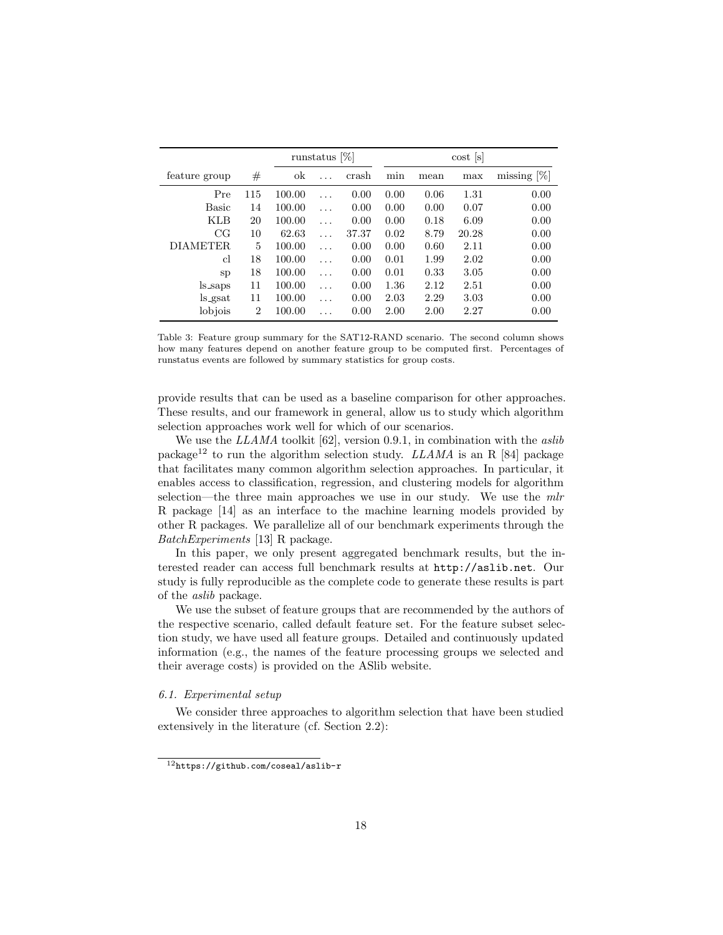<span id="page-17-0"></span>

|                |                | runstatus $[\%]$ |   |       | $\cos t$ $\left[s\right]$ |      |       |                |
|----------------|----------------|------------------|---|-------|---------------------------|------|-------|----------------|
| feature group  | #              | ok               |   | crash | min                       | mean | max   | missing $[\%]$ |
| Pre            | 115            | 100.00           | . | 0.00  | 0.00                      | 0.06 | 1.31  | 0.00           |
| Basic          | 14             | 100.00           | . | 0.00  | 0.00                      | 0.00 | 0.07  | 0.00           |
| <b>KLB</b>     | 20             | 100.00           | . | 0.00  | 0.00                      | 0.18 | 6.09  | 0.00           |
| CG             | 10             | 62.63            | . | 37.37 | 0.02                      | 8.79 | 20.28 | 0.00           |
| DIAMETER.      | 5              | 100.00           | . | 0.00  | 0.00                      | 0.60 | 2.11  | 0.00           |
| cl             | 18             | 100.00           | . | 0.00  | 0.01                      | 1.99 | 2.02  | 0.00           |
| <sub>S</sub> p | 18             | 100.00           | . | 0.00  | 0.01                      | 0.33 | 3.05  | 0.00           |
| ls_saps        | 11             | 100.00           | . | 0.00  | 1.36                      | 2.12 | 2.51  | 0.00           |
| ls_gsat        | 11             | 100.00           | . | 0.00  | 2.03                      | 2.29 | 3.03  | 0.00           |
| lobjois        | $\overline{2}$ | 100.00           | . | 0.00  | 2.00                      | 2.00 | 2.27  | 0.00           |

Table 3: Feature group summary for the SAT12-RAND scenario. The second column shows how many features depend on another feature group to be computed first. Percentages of runstatus events are followed by summary statistics for group costs.

provide results that can be used as a baseline comparison for other approaches. These results, and our framework in general, allow us to study which algorithm selection approaches work well for which of our scenarios.

We use the *LLAMA* toolkit [[62\]](#page-31-9), version 0.9.1, in combination with the *aslib* package<sup>[12](#page-17-1)</sup> to run the algorithm selection study. *LLAMA* is an R [\[84](#page-32-11)] package that facilitates many common algorithm selection approaches. In particular, it enables access to classification, regression, and clustering models for algorithm selection—the three main approaches we use in our study. We use the *mlr* R package [[14](#page-26-10)] as an interface to the machine learning models provided by other R packages. We parallelize all of our benchmark experiments through the *BatchExperiments* [[13\]](#page-26-11) R package.

In this paper, we only present aggregated benchmark results, but the interested reader can access full benchmark results at <http://aslib.net>. Our study is fully reproducible as the complete code to generate these results is part of the *aslib* package.

We use the subset of feature groups that are recommended by the authors of the respective scenario, called default feature set. For the feature subset selection study, we have used all feature groups. Detailed and continuously updated information (e.g., the names of the feature processing groups we selected and their average costs) is provided on the ASlib website.

# *6.1. Experimental setup*

We consider three approaches to algorithm selection that have been studied extensively in the literature (cf. Section [2.2](#page-4-0)):

<span id="page-17-1"></span> $\frac{12}{\text{https://github.com/coseal/aslib-r}}$  $\frac{12}{\text{https://github.com/coseal/aslib-r}}$  $\frac{12}{\text{https://github.com/coseal/aslib-r}}$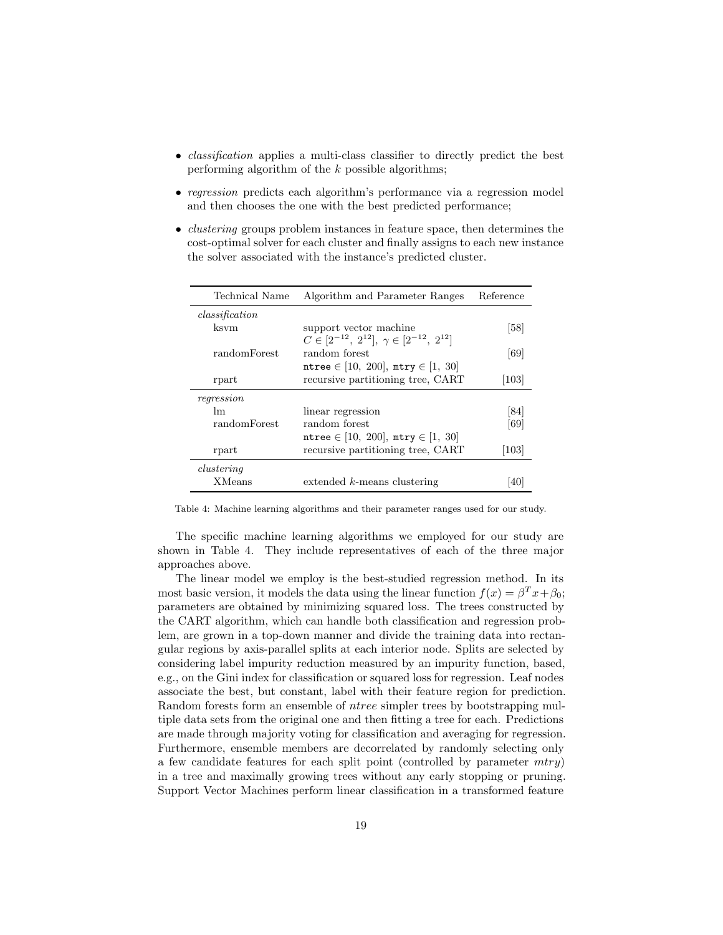- *classification* applies a multi-class classifier to directly predict the best performing algorithm of the *k* possible algorithms;
- *• regression* predicts each algorithm's performance via a regression model and then chooses the one with the best predicted performance;
- *clustering* groups problem instances in feature space, then determines the cost-optimal solver for each cluster and finally assigns to each new instance the solver associated with the instance's predicted cluster.

<span id="page-18-0"></span>

| Technical Name | Algorithm and Parameter Ranges                          | Reference          |
|----------------|---------------------------------------------------------|--------------------|
| classification |                                                         |                    |
| ksvm           | support vector machine                                  | [58]               |
|                | $C \in [2^{-12}, 2^{12}], \gamma \in [2^{-12}, 2^{12}]$ |                    |
| randomForest   | random forest                                           | [69]               |
|                | ntree $\in$ [10, 200], mtry $\in$ [1, 30]               |                    |
| rpart          | recursive partitioning tree, CART                       | $\left 103\right $ |
| regression     |                                                         |                    |
| lm.            | linear regression                                       | [84]               |
| random Forest  | random forest                                           | [69]               |
|                | ntree $\in$ [10, 200], mtry $\in$ [1, 30]               |                    |
| rpart          | recursive partitioning tree, CART                       | $\left 103\right $ |
| clustering     |                                                         |                    |
| <b>XMeans</b>  | $extended k-means clustering$                           | 40                 |

Table 4: Machine learning algorithms and their parameter ranges used for our study.

The specific machine learning algorithms we employed for our study are shown in Table [4](#page-18-0). They include representatives of each of the three major approaches above.

The linear model we employ is the best-studied regression method. In its most basic version, it models the data using the linear function  $f(x) = \beta^{T} x + \beta_{0}$ ; parameters are obtained by minimizing squared loss. The trees constructed by the CART algorithm, which can handle both classification and regression problem, are grown in a top-down manner and divide the training data into rectangular regions by axis-parallel splits at each interior node. Splits are selected by considering label impurity reduction measured by an impurity function, based, e.g., on the Gini index for classification or squared loss for regression. Leaf nodes associate the best, but constant, label with their feature region for prediction. Random forests form an ensemble of *ntree* simpler trees by bootstrapping multiple data sets from the original one and then fitting a tree for each. Predictions are made through majority voting for classification and averaging for regression. Furthermore, ensemble members are decorrelated by randomly selecting only a few candidate features for each split point (controlled by parameter *mtry*) in a tree and maximally growing trees without any early stopping or pruning. Support Vector Machines perform linear classification in a transformed feature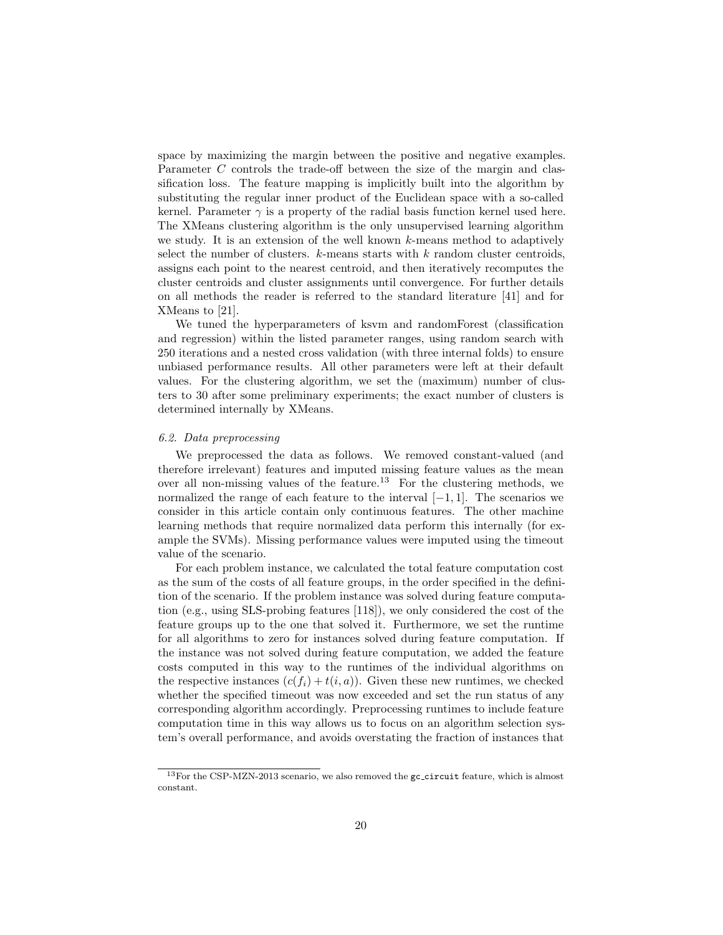space by maximizing the margin between the positive and negative examples. Parameter *C* controls the trade-off between the size of the margin and classification loss. The feature mapping is implicitly built into the algorithm by substituting the regular inner product of the Euclidean space with a so-called kernel. Parameter  $\gamma$  is a property of the radial basis function kernel used here. The XMeans clustering algorithm is the only unsupervised learning algorithm we study. It is an extension of the well known *k*-means method to adaptively select the number of clusters. *k*-means starts with *k* random cluster centroids, assigns each point to the nearest centroid, and then iteratively recomputes the cluster centroids and cluster assignments until convergence. For further details on all methods the reader is referred to the standard literature [[41\]](#page-29-10) and for XMeans to [\[21](#page-27-9)].

We tuned the hyperparameters of ksvm and randomForest (classification and regression) within the listed parameter ranges, using random search with 250 iterations and a nested cross validation (with three internal folds) to ensure unbiased performance results. All other parameters were left at their default values. For the clustering algorithm, we set the (maximum) number of clusters to 30 after some preliminary experiments; the exact number of clusters is determined internally by XMeans.

#### *6.2. Data preprocessing*

We preprocessed the data as follows. We removed constant-valued (and therefore irrelevant) features and imputed missing feature values as the mean over all non-missing values of the feature.<sup>[13](#page-19-0)</sup> For the clustering methods, we normalized the range of each feature to the interval [*−*1*,* 1]. The scenarios we consider in this article contain only continuous features. The other machine learning methods that require normalized data perform this internally (for example the SVMs). Missing performance values were imputed using the timeout value of the scenario.

For each problem instance, we calculated the total feature computation cost as the sum of the costs of all feature groups, in the order specified in the definition of the scenario. If the problem instance was solved during feature computation (e.g., using SLS-probing features [\[118](#page-35-2)]), we only considered the cost of the feature groups up to the one that solved it. Furthermore, we set the runtime for all algorithms to zero for instances solved during feature computation. If the instance was not solved during feature computation, we added the feature costs computed in this way to the runtimes of the individual algorithms on the respective instances  $(c(f_i) + t(i, a))$ . Given these new runtimes, we checked whether the specified timeout was now exceeded and set the run status of any corresponding algorithm accordingly. Preprocessing runtimes to include feature computation time in this way allows us to focus on an algorithm selection system's overall performance, and avoids overstating the fraction of instances that

<span id="page-19-0"></span><sup>&</sup>lt;sup>13</sup>For the CSP-MZN-2013 scenario, we also removed the gc\_circuit feature, which is almost constant.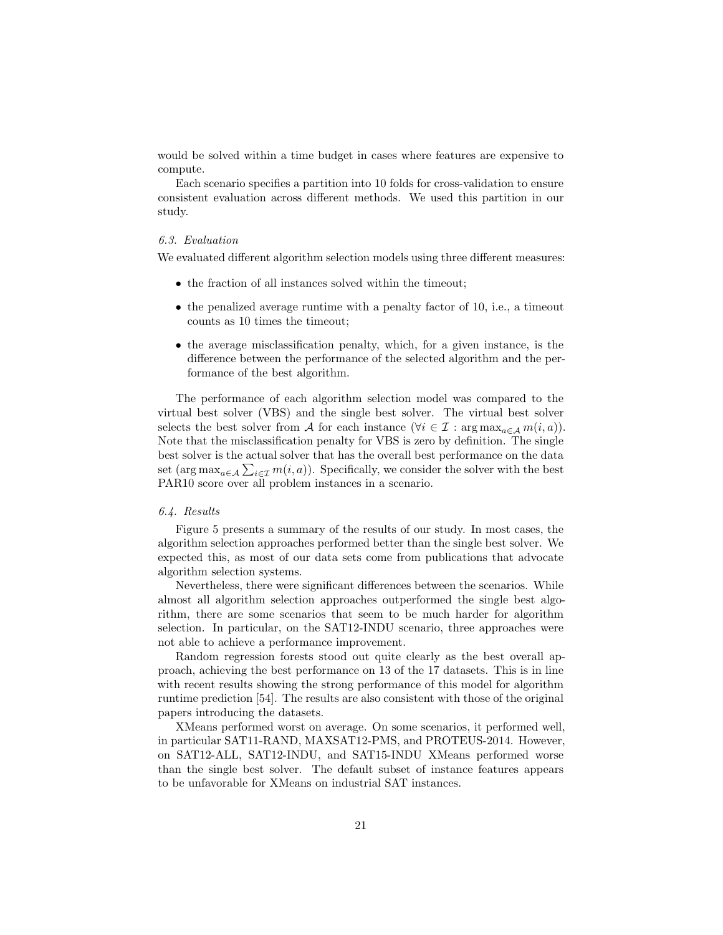would be solved within a time budget in cases where features are expensive to compute.

Each scenario specifies a partition into 10 folds for cross-validation to ensure consistent evaluation across different methods. We used this partition in our study.

# *6.3. Evaluation*

We evaluated different algorithm selection models using three different measures:

- the fraction of all instances solved within the timeout;
- the penalized average runtime with a penalty factor of 10, i.e., a timeout counts as 10 times the timeout;
- the average misclassification penalty, which, for a given instance, is the difference between the performance of the selected algorithm and the performance of the best algorithm.

The performance of each algorithm selection model was compared to the virtual best solver (VBS) and the single best solver. The virtual best solver selects the best solver from *A* for each instance ( $\forall i \in \mathcal{I} : \arg \max_{a \in \mathcal{A}} m(i, a)$ ). Note that the misclassification penalty for VBS is zero by definition. The single best solver is the actual solver that has the overall best performance on the data set ( $\arg \max_{a \in \mathcal{A}} \sum_{i \in \mathcal{I}} m(i, a)$ ). Specifically, we consider the solver with the best PAR10 score over all problem instances in a scenario.

### *6.4. Results*

Figure [5](#page-21-0) presents a summary of the results of our study. In most cases, the algorithm selection approaches performed better than the single best solver. We expected this, as most of our data sets come from publications that advocate algorithm selection systems.

Nevertheless, there were significant differences between the scenarios. While almost all algorithm selection approaches outperformed the single best algorithm, there are some scenarios that seem to be much harder for algorithm selection. In particular, on the SAT12-INDU scenario, three approaches were not able to achieve a performance improvement.

Random regression forests stood out quite clearly as the best overall approach, achieving the best performance on 13 of the 17 datasets. This is in line with recent results showing the strong performance of this model for algorithm runtime prediction [\[54](#page-30-2)]. The results are also consistent with those of the original papers introducing the datasets.

XMeans performed worst on average. On some scenarios, it performed well, in particular SAT11-RAND, MAXSAT12-PMS, and PROTEUS-2014. However, on SAT12-ALL, SAT12-INDU, and SAT15-INDU XMeans performed worse than the single best solver. The default subset of instance features appears to be unfavorable for XMeans on industrial SAT instances.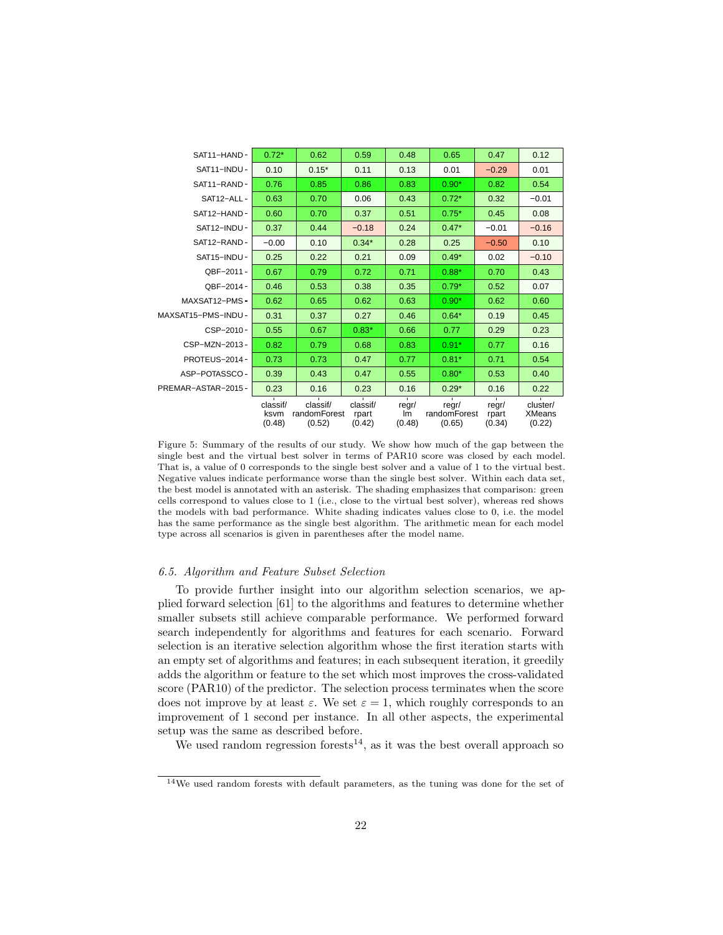<span id="page-21-0"></span>

| SAT11-HAND-                                                                                                                                                                             | $0.72*$ | 0.62    | 0.59    | 0.48 | 0.65    | 0.47                         | 0.12    |
|-----------------------------------------------------------------------------------------------------------------------------------------------------------------------------------------|---------|---------|---------|------|---------|------------------------------|---------|
| SAT11-INDU-                                                                                                                                                                             | 0.10    | $0.15*$ | 0.11    | 0.13 | 0.01    | $-0.29$                      | 0.01    |
| SAT11-RAND-                                                                                                                                                                             | 0.76    | 0.85    | 0.86    | 0.83 | $0.90*$ | 0.82                         | 0.54    |
| SAT12-ALL-                                                                                                                                                                              | 0.63    | 0.70    | 0.06    | 0.43 | $0.72*$ | 0.32                         | $-0.01$ |
| SAT12-HAND-                                                                                                                                                                             | 0.60    | 0.70    | 0.37    | 0.51 | $0.75*$ | 0.45                         | 0.08    |
| SAT12-INDU-                                                                                                                                                                             | 0.37    | 0.44    | $-0.18$ | 0.24 | $0.47*$ | $-0.01$                      | $-0.16$ |
| SAT12-RAND-                                                                                                                                                                             | $-0.00$ | 0.10    | $0.34*$ | 0.28 | 0.25    | $-0.50$                      | 0.10    |
| SAT15-INDU-                                                                                                                                                                             | 0.25    | 0.22    | 0.21    | 0.09 | $0.49*$ | 0.02                         | $-0.10$ |
| QBF-2011-                                                                                                                                                                               | 0.67    | 0.79    | 0.72    | 0.71 | $0.88*$ | 0.70                         | 0.43    |
| QBF-2014-                                                                                                                                                                               | 0.46    | 0.53    | 0.38    | 0.35 | $0.79*$ | 0.52                         | 0.07    |
| MAXSAT12-PMS-                                                                                                                                                                           | 0.62    | 0.65    | 0.62    | 0.63 | $0.90*$ | 0.62                         | 0.60    |
| MAXSAT15-PMS-INDU-                                                                                                                                                                      | 0.31    | 0.37    | 0.27    | 0.46 | $0.64*$ | 0.19                         | 0.45    |
| CSP-2010-                                                                                                                                                                               | 0.55    | 0.67    | $0.83*$ | 0.66 | 0.77    | 0.29                         | 0.23    |
| CSP-MZN-2013-                                                                                                                                                                           | 0.82    | 0.79    | 0.68    | 0.83 | $0.91*$ | 0.77                         | 0.16    |
| PROTEUS-2014-                                                                                                                                                                           | 0.73    | 0.73    | 0.47    | 0.77 | $0.81*$ | 0.71                         | 0.54    |
| ASP-POTASSCO-                                                                                                                                                                           | 0.39    | 0.43    | 0.47    | 0.55 | $0.80*$ | 0.53                         | 0.40    |
| PREMAR-ASTAR-2015-                                                                                                                                                                      | 0.23    | 0.16    | 0.23    | 0.16 | $0.29*$ | 0.16                         | 0.22    |
| classif/<br>classif/<br>classif/<br>regr/<br>regr/<br>regr/<br>randomForest<br>randomForest<br>rpart<br>ksvm<br>rpart<br>Im<br>(0.34)<br>(0.48)<br>(0.52)<br>(0.42)<br>(0.48)<br>(0.65) |         |         |         |      |         | cluster/<br>XMeans<br>(0.22) |         |

Figure 5: Summary of the results of our study. We show how much of the gap between the single best and the virtual best solver in terms of PAR10 score was closed by each model. That is, a value of 0 corresponds to the single best solver and a value of 1 to the virtual best. Negative values indicate performance worse than the single best solver. Within each data set, the best model is annotated with an asterisk. The shading emphasizes that comparison: green cells correspond to values close to 1 (i.e., close to the virtual best solver), whereas red shows the models with bad performance. White shading indicates values close to 0, i.e. the model has the same performance as the single best algorithm. The arithmetic mean for each model type across all scenarios is given in parentheses after the model name.

### *6.5. Algorithm and Feature Subset Selection*

To provide further insight into our algorithm selection scenarios, we applied forward selection [\[61](#page-30-10)] to the algorithms and features to determine whether smaller subsets still achieve comparable performance. We performed forward search independently for algorithms and features for each scenario. Forward selection is an iterative selection algorithm whose the first iteration starts with an empty set of algorithms and features; in each subsequent iteration, it greedily adds the algorithm or feature to the set which most improves the cross-validated score (PAR10) of the predictor. The selection process terminates when the score does not improve by at least  $\varepsilon$ . We set  $\varepsilon = 1$ , which roughly corresponds to an improvement of 1 second per instance. In all other aspects, the experimental setup was the same as described before.

We used random regression forests<sup>[14](#page-21-1)</sup>, as it was the best overall approach so

<span id="page-21-1"></span><sup>14</sup>We used random forests with default parameters, as the tuning was done for the set of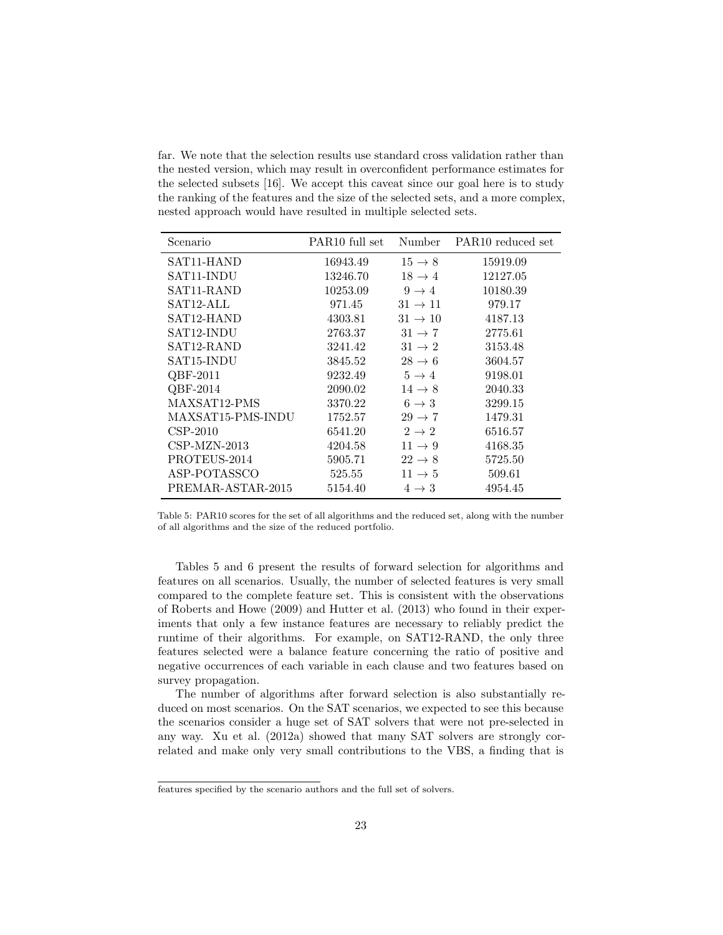far. We note that the selection results use standard cross validation rather than the nested version, which may result in overconfident performance estimates for the selected subsets [[16\]](#page-27-10). We accept this caveat since our goal here is to study the ranking of the features and the size of the selected sets, and a more complex, nested approach would have resulted in multiple selected sets.

<span id="page-22-0"></span>

| Scenario                | PAR <sub>10</sub> full set | Number              | PAR <sub>10</sub> reduced set |
|-------------------------|----------------------------|---------------------|-------------------------------|
| SAT11-HAND              | 16943.49                   | $15 \rightarrow 8$  | 15919.09                      |
| SAT11-INDU              | 13246.70                   | $18 \rightarrow 4$  | 12127.05                      |
| SAT11-RAND              | 10253.09                   | $9 \rightarrow 4$   | 10180.39                      |
| SAT12-ALL               | 971.45                     | $31 \rightarrow 11$ | 979.17                        |
| SAT <sub>12</sub> -HAND | 4303.81                    | $31 \rightarrow 10$ | 4187.13                       |
| SAT12-INDU              | 2763.37                    | $31 \rightarrow 7$  | 2775.61                       |
| SAT12-RAND              | 3241.42                    | $31 \rightarrow 2$  | 3153.48                       |
| SAT15-INDU              | 3845.52                    | $28 \rightarrow 6$  | 3604.57                       |
| QBF-2011                | 9232.49                    | $5 \rightarrow 4$   | 9198.01                       |
| $QBF-2014$              | 2090.02                    | $14 \rightarrow 8$  | 2040.33                       |
| MAXSAT12-PMS            | 3370.22                    | $6 \rightarrow 3$   | 3299.15                       |
| MAXSAT15-PMS-INDU       | 1752.57                    | $29 \rightarrow 7$  | 1479.31                       |
| $CSP-2010$              | 6541.20                    | $2 \rightarrow 2$   | 6516.57                       |
| $CSP-MZN-2013$          | 4204.58                    | $11 \rightarrow 9$  | 4168.35                       |
| PROTEUS-2014            | 5905.71                    | $22 \rightarrow 8$  | 5725.50                       |
| ASP-POTASSCO            | 525.55                     | $11 \rightarrow 5$  | 509.61                        |
| PREMAR-ASTAR-2015       | 5154.40                    | $4 \rightarrow 3$   | 4954.45                       |

Table 5: PAR10 scores for the set of all algorithms and the reduced set, along with the number of all algorithms and the size of the reduced portfolio.

Tables [5](#page-22-0) and [6](#page-23-1) present the results of forward selection for algorithms and features on all scenarios. Usually, the number of selected features is very small compared to the complete feature set. This is consistent with the observations of [Roberts and Howe](#page-33-13) ([2009\)](#page-33-13) and [Hutter et al.](#page-30-11) ([2013\)](#page-30-11) who found in their experiments that only a few instance features are necessary to reliably predict the runtime of their algorithms. For example, on SAT12-RAND, the only three features selected were a balance feature concerning the ratio of positive and negative occurrences of each variable in each clause and two features based on survey propagation.

The number of algorithms after forward selection is also substantially reduced on most scenarios. On the SAT scenarios, we expected to see this because the scenarios consider a huge set of SAT solvers that were not pre-selected in any way. [Xu et al.](#page-35-0) ([2012a\)](#page-35-0) showed that many SAT solvers are strongly correlated and make only very small contributions to the VBS, a finding that is

features specified by the scenario authors and the full set of solvers.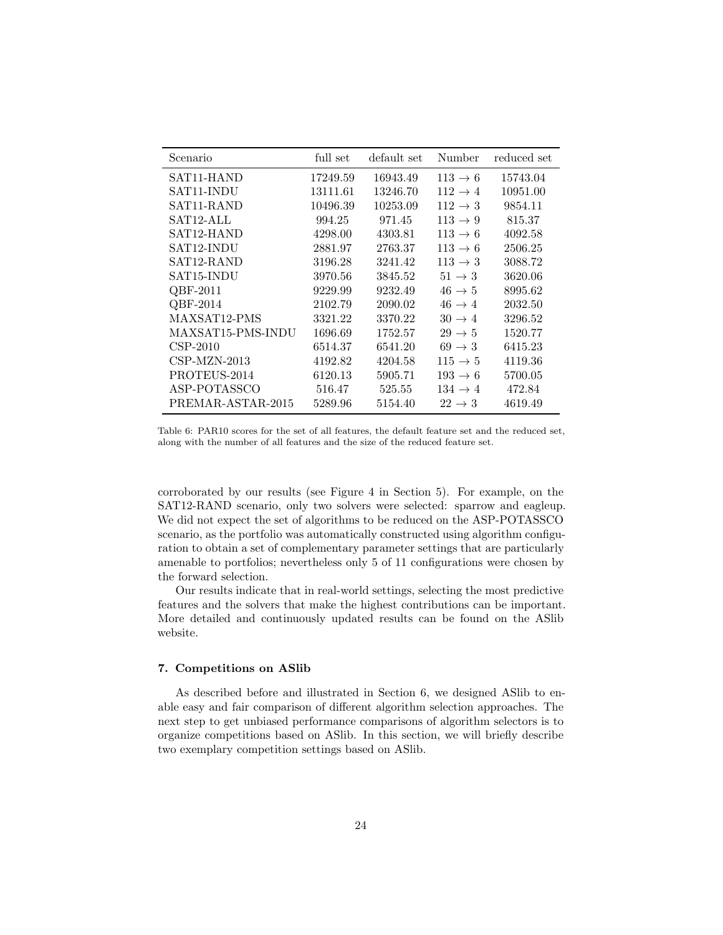<span id="page-23-1"></span>

| Scenario                | full set | default set | Number              | reduced set |
|-------------------------|----------|-------------|---------------------|-------------|
| SAT <sub>11</sub> -HAND | 17249.59 | 16943.49    | $113 \rightarrow 6$ | 15743.04    |
| SAT11-INDU              | 13111.61 | 13246.70    | $112 \rightarrow 4$ | 10951.00    |
| SAT11-RAND              | 10496.39 | 10253.09    | $112 \rightarrow 3$ | 9854.11     |
| SAT <sub>12</sub> -ALL  | 994.25   | 971.45      | $113 \rightarrow 9$ | 815.37      |
| SAT12-HAND              | 4298.00  | 4303.81     | $113 \rightarrow 6$ | 4092.58     |
| SAT12-INDU              | 2881.97  | 2763.37     | $113 \rightarrow 6$ | 2506.25     |
| SAT12-RAND              | 3196.28  | 3241.42     | $113 \rightarrow 3$ | 3088.72     |
| SAT15-INDU              | 3970.56  | 3845.52     | $51 \rightarrow 3$  | 3620.06     |
| $QBF-2011$              | 9229.99  | 9232.49     | $46 \rightarrow 5$  | 8995.62     |
| $QBF-2014$              | 2102.79  | 2090.02     | $46 \rightarrow 4$  | 2032.50     |
| MAXSAT12-PMS            | 3321.22  | 3370.22     | $30 \rightarrow 4$  | 3296.52     |
| MAXSAT15-PMS-INDU       | 1696.69  | 1752.57     | $29 \rightarrow 5$  | 1520.77     |
| $CSP-2010$              | 6514.37  | 6541.20     | $69 \rightarrow 3$  | 6415.23     |
| $CSP-MZN-2013$          | 4192.82  | 4204.58     | $115 \rightarrow 5$ | 4119.36     |
| PROTEUS-2014            | 6120.13  | 5905.71     | $193 \rightarrow 6$ | 5700.05     |
| ASP-POTASSCO            | 516.47   | 525.55      | $134 \rightarrow 4$ | 472.84      |
| PREMAR-ASTAR-2015       | 5289.96  | 5154.40     | $22 \rightarrow 3$  | 4619.49     |

Table 6: PAR10 scores for the set of all features, the default feature set and the reduced set, along with the number of all features and the size of the reduced feature set.

corroborated by our results (see Figure [4](#page-16-1) in Section [5](#page-12-0)). For example, on the SAT12-RAND scenario, only two solvers were selected: sparrow and eagleup. We did not expect the set of algorithms to be reduced on the ASP-POTASSCO scenario, as the portfolio was automatically constructed using algorithm configuration to obtain a set of complementary parameter settings that are particularly amenable to portfolios; nevertheless only 5 of 11 configurations were chosen by the forward selection.

Our results indicate that in real-world settings, selecting the most predictive features and the solvers that make the highest contributions can be important. More detailed and continuously updated results can be found on the ASlib website.

# <span id="page-23-0"></span>**7. Competitions on ASlib**

As described before and illustrated in Section [6](#page-16-0), we designed ASlib to enable easy and fair comparison of different algorithm selection approaches. The next step to get unbiased performance comparisons of algorithm selectors is to organize competitions based on ASlib. In this section, we will briefly describe two exemplary competition settings based on ASlib.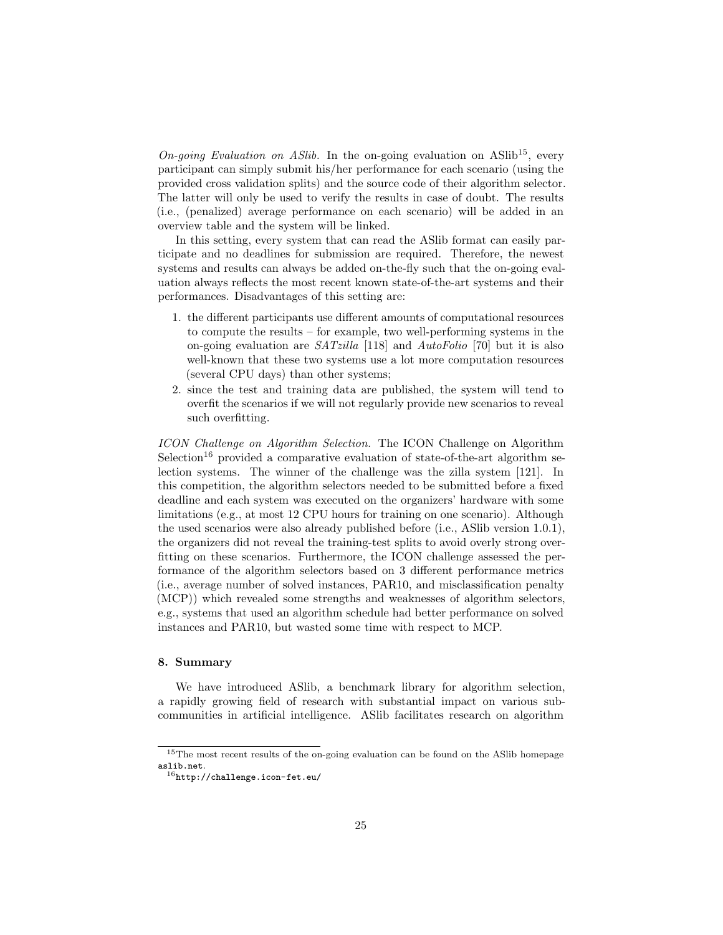*On-going Evaluation on ASlib.* In the on-going evaluation on ASlib<sup>[15](#page-24-0)</sup>, every participant can simply submit his/her performance for each scenario (using the provided cross validation splits) and the source code of their algorithm selector. The latter will only be used to verify the results in case of doubt. The results (i.e., (penalized) average performance on each scenario) will be added in an overview table and the system will be linked.

In this setting, every system that can read the ASlib format can easily participate and no deadlines for submission are required. Therefore, the newest systems and results can always be added on-the-fly such that the on-going evaluation always reflects the most recent known state-of-the-art systems and their performances. Disadvantages of this setting are:

- 1. the different participants use different amounts of computational resources to compute the results – for example, two well-performing systems in the on-going evaluation are *SATzilla* [\[118\]](#page-35-2) and *AutoFolio* [\[70](#page-31-11)] but it is also well-known that these two systems use a lot more computation resources (several CPU days) than other systems;
- 2. since the test and training data are published, the system will tend to overfit the scenarios if we will not regularly provide new scenarios to reveal such overfitting.

*ICON Challenge on Algorithm Selection.* The ICON Challenge on Algorithm Selection<sup>[16](#page-24-1)</sup> provided a comparative evaluation of state-of-the-art algorithm selection systems. The winner of the challenge was the zilla system [[121\]](#page-35-7). In this competition, the algorithm selectors needed to be submitted before a fixed deadline and each system was executed on the organizers' hardware with some limitations (e.g., at most 12 CPU hours for training on one scenario). Although the used scenarios were also already published before (i.e., ASlib version 1.0.1), the organizers did not reveal the training-test splits to avoid overly strong overfitting on these scenarios. Furthermore, the ICON challenge assessed the performance of the algorithm selectors based on 3 different performance metrics (i.e., average number of solved instances, PAR10, and misclassification penalty (MCP)) which revealed some strengths and weaknesses of algorithm selectors, e.g., systems that used an algorithm schedule had better performance on solved instances and PAR10, but wasted some time with respect to MCP.

# **8. Summary**

We have introduced ASlib, a benchmark library for algorithm selection, a rapidly growing field of research with substantial impact on various subcommunities in artificial intelligence. ASlib facilitates research on algorithm

<span id="page-24-0"></span><sup>&</sup>lt;sup>15</sup>The most recent results of the on-going evaluation can be found on the ASlib homepage <aslib.net>.

<span id="page-24-1"></span> $16$ <http://challenge.icon-fet.eu/>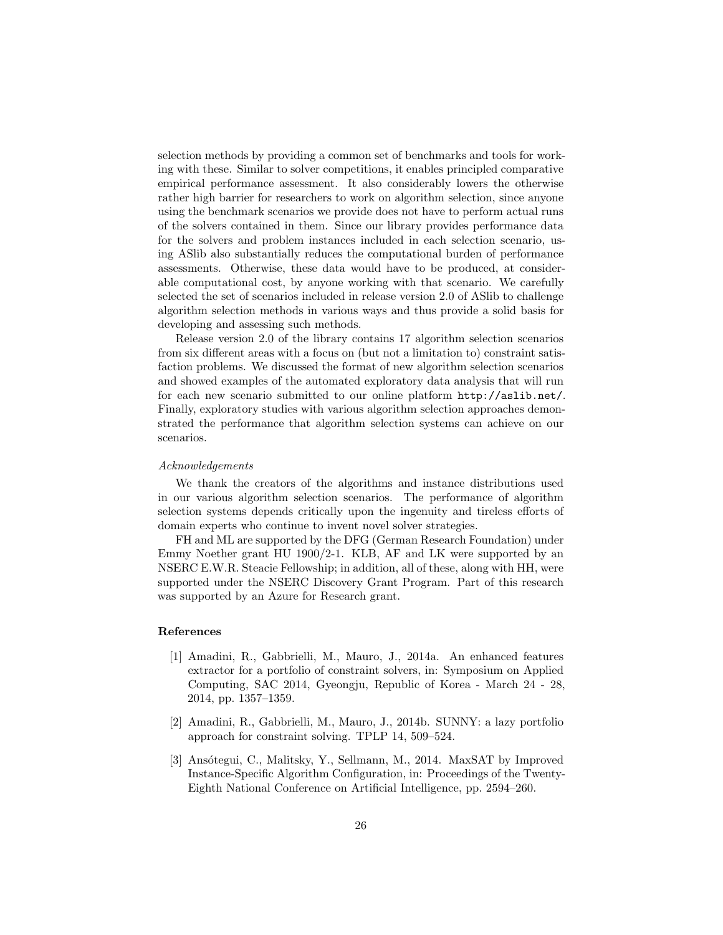selection methods by providing a common set of benchmarks and tools for working with these. Similar to solver competitions, it enables principled comparative empirical performance assessment. It also considerably lowers the otherwise rather high barrier for researchers to work on algorithm selection, since anyone using the benchmark scenarios we provide does not have to perform actual runs of the solvers contained in them. Since our library provides performance data for the solvers and problem instances included in each selection scenario, using ASlib also substantially reduces the computational burden of performance assessments. Otherwise, these data would have to be produced, at considerable computational cost, by anyone working with that scenario. We carefully selected the set of scenarios included in release version 2.0 of ASlib to challenge algorithm selection methods in various ways and thus provide a solid basis for developing and assessing such methods.

Release version 2.0 of the library contains 17 algorithm selection scenarios from six different areas with a focus on (but not a limitation to) constraint satisfaction problems. We discussed the format of new algorithm selection scenarios and showed examples of the automated exploratory data analysis that will run for each new scenario submitted to our online platform <http://aslib.net/>. Finally, exploratory studies with various algorithm selection approaches demonstrated the performance that algorithm selection systems can achieve on our scenarios.

#### *Acknowledgements*

We thank the creators of the algorithms and instance distributions used in our various algorithm selection scenarios. The performance of algorithm selection systems depends critically upon the ingenuity and tireless efforts of domain experts who continue to invent novel solver strategies.

FH and ML are supported by the DFG (German Research Foundation) under Emmy Noether grant HU 1900/2-1. KLB, AF and LK were supported by an NSERC E.W.R. Steacie Fellowship; in addition, all of these, along with HH, were supported under the NSERC Discovery Grant Program. Part of this research was supported by an Azure for Research grant.

### **References**

- <span id="page-25-2"></span>[1] Amadini, R., Gabbrielli, M., Mauro, J., 2014a. An enhanced features extractor for a portfolio of constraint solvers, in: Symposium on Applied Computing, SAC 2014, Gyeongju, Republic of Korea - March 24 - 28, 2014, pp. 1357–1359.
- <span id="page-25-1"></span>[2] Amadini, R., Gabbrielli, M., Mauro, J., 2014b. SUNNY: a lazy portfolio approach for constraint solving. TPLP 14, 509–524.
- <span id="page-25-0"></span>[3] Ansótegui, C., Malitsky, Y., Sellmann, M., 2014. MaxSAT by Improved Instance-Specific Algorithm Configuration, in: Proceedings of the Twenty-Eighth National Conference on Artificial Intelligence, pp. 2594–260.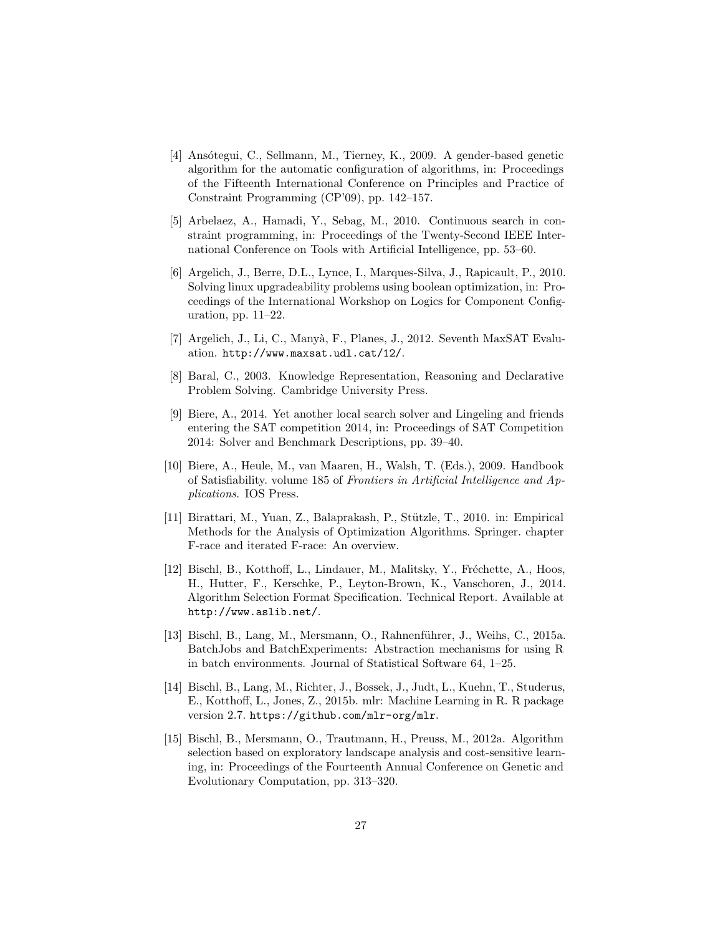- <span id="page-26-3"></span>[4] Ansótegui, C., Sellmann, M., Tierney, K., 2009. A gender-based genetic algorithm for the automatic configuration of algorithms, in: Proceedings of the Fifteenth International Conference on Principles and Practice of Constraint Programming (CP'09), pp. 142–157.
- <span id="page-26-1"></span>[5] Arbelaez, A., Hamadi, Y., Sebag, M., 2010. Continuous search in constraint programming, in: Proceedings of the Twenty-Second IEEE International Conference on Tools with Artificial Intelligence, pp. 53–60.
- <span id="page-26-6"></span>[6] Argelich, J., Berre, D.L., Lynce, I., Marques-Silva, J., Rapicault, P., 2010. Solving linux upgradeability problems using boolean optimization, in: Proceedings of the International Workshop on Logics for Component Configuration, pp. 11–22.
- <span id="page-26-8"></span>[7] Argelich, J., Li, C., Manyà, F., Planes, J., 2012. Seventh MaxSAT Evaluation. <http://www.maxsat.udl.cat/12/>.
- <span id="page-26-9"></span>[8] Baral, C., 2003. Knowledge Representation, Reasoning and Declarative Problem Solving. Cambridge University Press.
- <span id="page-26-0"></span>[9] Biere, A., 2014. Yet another local search solver and Lingeling and friends entering the SAT competition 2014, in: Proceedings of SAT Competition 2014: Solver and Benchmark Descriptions, pp. 39–40.
- <span id="page-26-7"></span>[10] Biere, A., Heule, M., van Maaren, H., Walsh, T. (Eds.), 2009. Handbook of Satisfiability. volume 185 of *Frontiers in Artificial Intelligence and Applications*. IOS Press.
- <span id="page-26-4"></span>[11] Birattari, M., Yuan, Z., Balaprakash, P., Stützle, T., 2010. in: Empirical Methods for the Analysis of Optimization Algorithms. Springer. chapter F-race and iterated F-race: An overview.
- <span id="page-26-5"></span>[12] Bischl, B., Kotthoff, L., Lindauer, M., Malitsky, Y., Fréchette, A., Hoos, H., Hutter, F., Kerschke, P., Leyton-Brown, K., Vanschoren, J., 2014. Algorithm Selection Format Specification. Technical Report. Available at <http://www.aslib.net/>.
- <span id="page-26-11"></span>[13] Bischl, B., Lang, M., Mersmann, O., Rahnenführer, J., Weihs, C., 2015a. BatchJobs and BatchExperiments: Abstraction mechanisms for using R in batch environments. Journal of Statistical Software 64, 1–25.
- <span id="page-26-10"></span>[14] Bischl, B., Lang, M., Richter, J., Bossek, J., Judt, L., Kuehn, T., Studerus, E., Kotthoff, L., Jones, Z., 2015b. mlr: Machine Learning in R. R package version 2.7. <https://github.com/mlr-org/mlr>.
- <span id="page-26-2"></span>[15] Bischl, B., Mersmann, O., Trautmann, H., Preuss, M., 2012a. Algorithm selection based on exploratory landscape analysis and cost-sensitive learning, in: Proceedings of the Fourteenth Annual Conference on Genetic and Evolutionary Computation, pp. 313–320.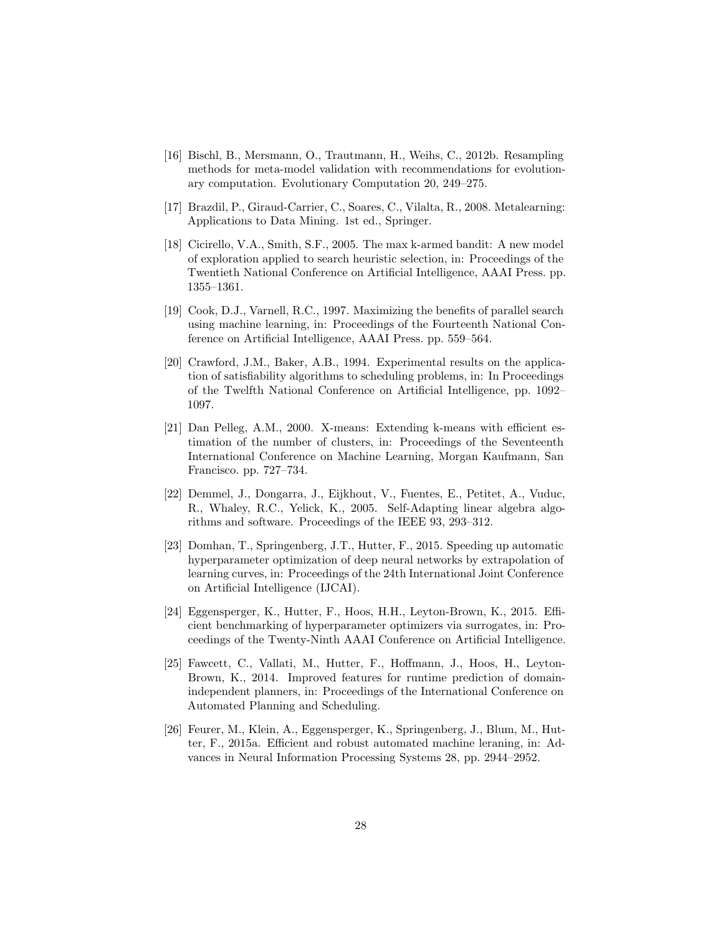- <span id="page-27-10"></span>[16] Bischl, B., Mersmann, O., Trautmann, H., Weihs, C., 2012b. Resampling methods for meta-model validation with recommendations for evolutionary computation. Evolutionary Computation 20, 249–275.
- <span id="page-27-5"></span>[17] Brazdil, P., Giraud-Carrier, C., Soares, C., Vilalta, R., 2008. Metalearning: Applications to Data Mining. 1st ed., Springer.
- <span id="page-27-3"></span>[18] Cicirello, V.A., Smith, S.F., 2005. The max k-armed bandit: A new model of exploration applied to search heuristic selection, in: Proceedings of the Twentieth National Conference on Artificial Intelligence, AAAI Press. pp. 1355–1361.
- <span id="page-27-2"></span>[19] Cook, D.J., Varnell, R.C., 1997. Maximizing the benefits of parallel search using machine learning, in: Proceedings of the Fourteenth National Conference on Artificial Intelligence, AAAI Press. pp. 559–564.
- <span id="page-27-8"></span>[20] Crawford, J.M., Baker, A.B., 1994. Experimental results on the application of satisfiability algorithms to scheduling problems, in: In Proceedings of the Twelfth National Conference on Artificial Intelligence, pp. 1092– 1097.
- <span id="page-27-9"></span>[21] Dan Pelleg, A.M., 2000. X-means: Extending k-means with efficient estimation of the number of clusters, in: Proceedings of the Seventeenth International Conference on Machine Learning, Morgan Kaufmann, San Francisco. pp. 727–734.
- <span id="page-27-1"></span>[22] Demmel, J., Dongarra, J., Eijkhout, V., Fuentes, E., Petitet, A., Vuduc, R., Whaley, R.C., Yelick, K., 2005. Self-Adapting linear algebra algorithms and software. Proceedings of the IEEE 93, 293–312.
- <span id="page-27-6"></span>[23] Domhan, T., Springenberg, J.T., Hutter, F., 2015. Speeding up automatic hyperparameter optimization of deep neural networks by extrapolation of learning curves, in: Proceedings of the 24th International Joint Conference on Artificial Intelligence (IJCAI).
- <span id="page-27-7"></span>[24] Eggensperger, K., Hutter, F., Hoos, H.H., Leyton-Brown, K., 2015. Efficient benchmarking of hyperparameter optimizers via surrogates, in: Proceedings of the Twenty-Ninth AAAI Conference on Artificial Intelligence.
- <span id="page-27-4"></span>[25] Fawcett, C., Vallati, M., Hutter, F., Hoffmann, J., Hoos, H., Leyton-Brown, K., 2014. Improved features for runtime prediction of domainindependent planners, in: Proceedings of the International Conference on Automated Planning and Scheduling.
- <span id="page-27-0"></span>[26] Feurer, M., Klein, A., Eggensperger, K., Springenberg, J., Blum, M., Hutter, F., 2015a. Efficient and robust automated machine leraning, in: Advances in Neural Information Processing Systems 28, pp. 2944–2952.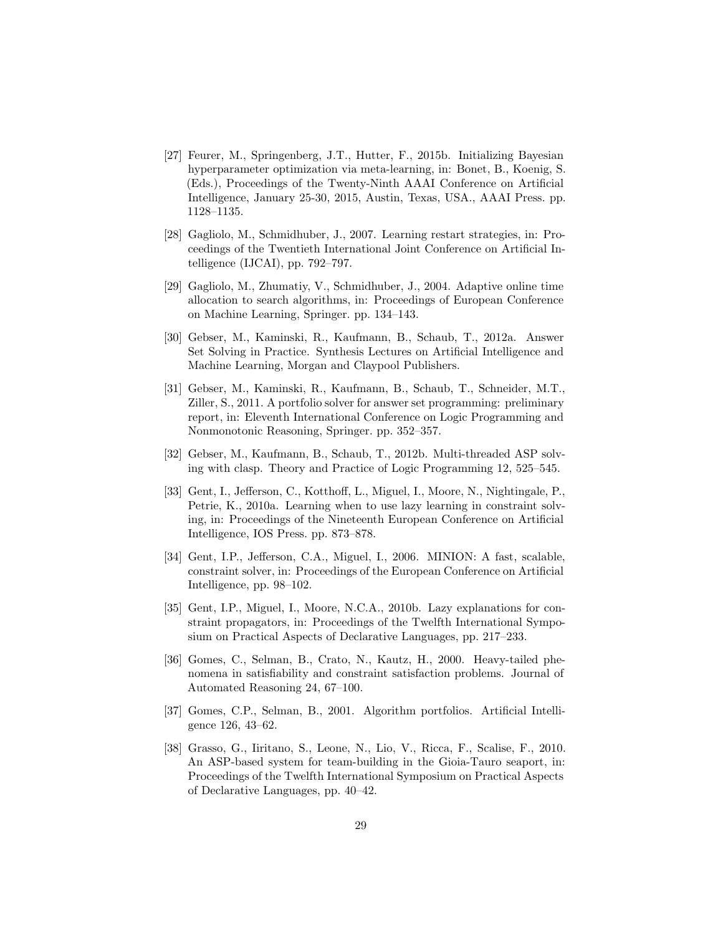- <span id="page-28-5"></span>[27] Feurer, M., Springenberg, J.T., Hutter, F., 2015b. Initializing Bayesian hyperparameter optimization via meta-learning, in: Bonet, B., Koenig, S. (Eds.), Proceedings of the Twenty-Ninth AAAI Conference on Artificial Intelligence, January 25-30, 2015, Austin, Texas, USA., AAAI Press. pp. 1128–1135.
- <span id="page-28-1"></span>[28] Gagliolo, M., Schmidhuber, J., 2007. Learning restart strategies, in: Proceedings of the Twentieth International Joint Conference on Artificial Intelligence (IJCAI), pp. 792–797.
- <span id="page-28-3"></span>[29] Gagliolo, M., Zhumatiy, V., Schmidhuber, J., 2004. Adaptive online time allocation to search algorithms, in: Proceedings of European Conference on Machine Learning, Springer. pp. 134–143.
- <span id="page-28-8"></span>[30] Gebser, M., Kaminski, R., Kaufmann, B., Schaub, T., 2012a. Answer Set Solving in Practice. Synthesis Lectures on Artificial Intelligence and Machine Learning, Morgan and Claypool Publishers.
- <span id="page-28-0"></span>[31] Gebser, M., Kaminski, R., Kaufmann, B., Schaub, T., Schneider, M.T., Ziller, S., 2011. A portfolio solver for answer set programming: preliminary report, in: Eleventh International Conference on Logic Programming and Nonmonotonic Reasoning, Springer. pp. 352–357.
- <span id="page-28-10"></span>[32] Gebser, M., Kaufmann, B., Schaub, T., 2012b. Multi-threaded ASP solving with clasp. Theory and Practice of Logic Programming 12, 525–545.
- <span id="page-28-4"></span>[33] Gent, I., Jefferson, C., Kotthoff, L., Miguel, I., Moore, N., Nightingale, P., Petrie, K., 2010a. Learning when to use lazy learning in constraint solving, in: Proceedings of the Nineteenth European Conference on Artificial Intelligence, IOS Press. pp. 873–878.
- <span id="page-28-7"></span>[34] Gent, I.P., Jefferson, C.A., Miguel, I., 2006. MINION: A fast, scalable, constraint solver, in: Proceedings of the European Conference on Artificial Intelligence, pp. 98–102.
- <span id="page-28-6"></span>[35] Gent, I.P., Miguel, I., Moore, N.C.A., 2010b. Lazy explanations for constraint propagators, in: Proceedings of the Twelfth International Symposium on Practical Aspects of Declarative Languages, pp. 217–233.
- <span id="page-28-11"></span>[36] Gomes, C., Selman, B., Crato, N., Kautz, H., 2000. Heavy-tailed phenomena in satisfiability and constraint satisfaction problems. Journal of Automated Reasoning 24, 67–100.
- <span id="page-28-2"></span>[37] Gomes, C.P., Selman, B., 2001. Algorithm portfolios. Artificial Intelligence 126, 43–62.
- <span id="page-28-9"></span>[38] Grasso, G., Iiritano, S., Leone, N., Lio, V., Ricca, F., Scalise, F., 2010. An ASP-based system for team-building in the Gioia-Tauro seaport, in: Proceedings of the Twelfth International Symposium on Practical Aspects of Declarative Languages, pp. 40–42.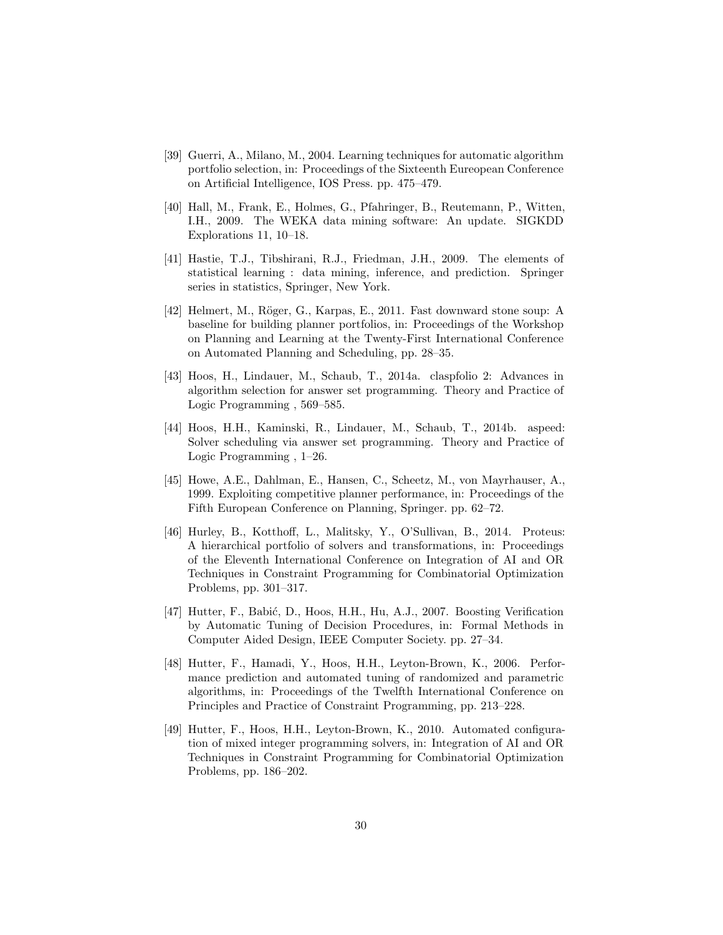- <span id="page-29-3"></span>[39] Guerri, A., Milano, M., 2004. Learning techniques for automatic algorithm portfolio selection, in: Proceedings of the Sixteenth Eureopean Conference on Artificial Intelligence, IOS Press. pp. 475–479.
- <span id="page-29-9"></span>[40] Hall, M., Frank, E., Holmes, G., Pfahringer, B., Reutemann, P., Witten, I.H., 2009. The WEKA data mining software: An update. SIGKDD Explorations 11, 10–18.
- <span id="page-29-10"></span>[41] Hastie, T.J., Tibshirani, R.J., Friedman, J.H., 2009. The elements of statistical learning : data mining, inference, and prediction. Springer series in statistics, Springer, New York.
- <span id="page-29-0"></span>[42] Helmert, M., Röger, G., Karpas, E., 2011. Fast downward stone soup: A baseline for building planner portfolios, in: Proceedings of the Workshop on Planning and Learning at the Twenty-First International Conference on Automated Planning and Scheduling, pp. 28–35.
- <span id="page-29-8"></span>[43] Hoos, H., Lindauer, M., Schaub, T., 2014a. claspfolio 2: Advances in algorithm selection for answer set programming. Theory and Practice of Logic Programming , 569–585.
- <span id="page-29-2"></span>[44] Hoos, H.H., Kaminski, R., Lindauer, M., Schaub, T., 2014b. aspeed: Solver scheduling via answer set programming. Theory and Practice of Logic Programming , 1–26.
- <span id="page-29-1"></span>[45] Howe, A.E., Dahlman, E., Hansen, C., Scheetz, M., von Mayrhauser, A., 1999. Exploiting competitive planner performance, in: Proceedings of the Fifth European Conference on Planning, Springer. pp. 62–72.
- <span id="page-29-4"></span>[46] Hurley, B., Kotthoff, L., Malitsky, Y., O'Sullivan, B., 2014. Proteus: A hierarchical portfolio of solvers and transformations, in: Proceedings of the Eleventh International Conference on Integration of AI and OR Techniques in Constraint Programming for Combinatorial Optimization Problems, pp. 301–317.
- <span id="page-29-5"></span>[47] Hutter, F., Babić, D., Hoos, H.H., Hu, A.J., 2007. Boosting Verification by Automatic Tuning of Decision Procedures, in: Formal Methods in Computer Aided Design, IEEE Computer Society. pp. 27–34.
- <span id="page-29-7"></span>[48] Hutter, F., Hamadi, Y., Hoos, H.H., Leyton-Brown, K., 2006. Performance prediction and automated tuning of randomized and parametric algorithms, in: Proceedings of the Twelfth International Conference on Principles and Practice of Constraint Programming, pp. 213–228.
- <span id="page-29-6"></span>[49] Hutter, F., Hoos, H.H., Leyton-Brown, K., 2010. Automated configuration of mixed integer programming solvers, in: Integration of AI and OR Techniques in Constraint Programming for Combinatorial Optimization Problems, pp. 186–202.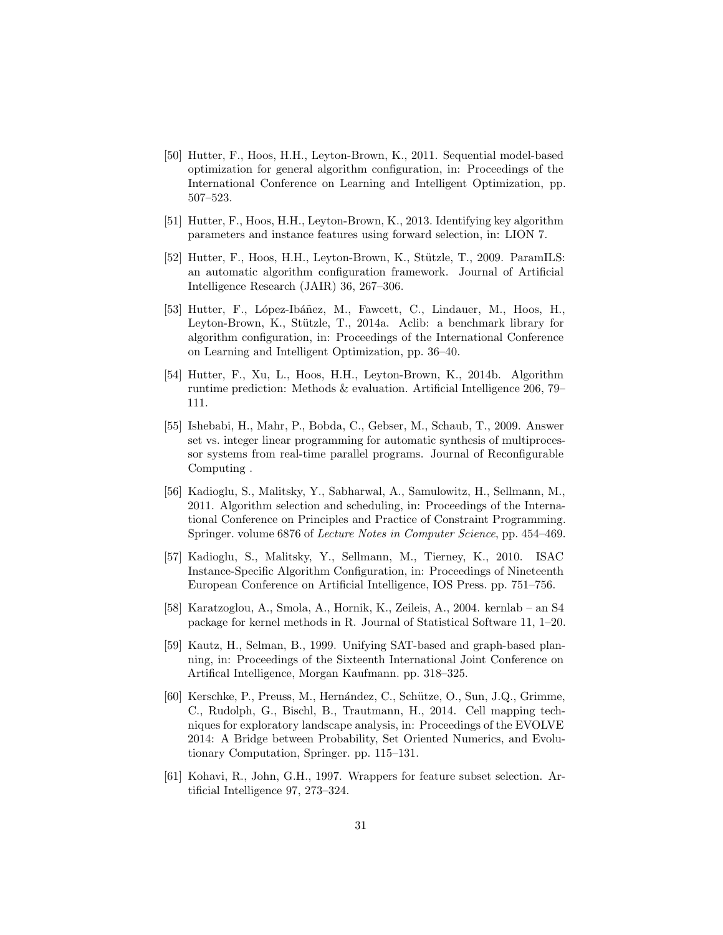- <span id="page-30-5"></span>[50] Hutter, F., Hoos, H.H., Leyton-Brown, K., 2011. Sequential model-based optimization for general algorithm configuration, in: Proceedings of the International Conference on Learning and Intelligent Optimization, pp. 507–523.
- <span id="page-30-11"></span>[51] Hutter, F., Hoos, H.H., Leyton-Brown, K., 2013. Identifying key algorithm parameters and instance features using forward selection, in: LION 7.
- <span id="page-30-4"></span>[52] Hutter, F., Hoos, H.H., Leyton-Brown, K., Stützle, T., 2009. ParamILS: an automatic algorithm configuration framework. Journal of Artificial Intelligence Research (JAIR) 36, 267–306.
- <span id="page-30-6"></span>[53] Hutter, F., López-Ibáñez, M., Fawcett, C., Lindauer, M., Hoos, H., Leyton-Brown, K., Stützle, T., 2014a. Aclib: a benchmark library for algorithm configuration, in: Proceedings of the International Conference on Learning and Intelligent Optimization, pp. 36–40.
- <span id="page-30-2"></span>[54] Hutter, F., Xu, L., Hoos, H.H., Leyton-Brown, K., 2014b. Algorithm runtime prediction: Methods & evaluation. Artificial Intelligence 206, 79– 111.
- <span id="page-30-8"></span>[55] Ishebabi, H., Mahr, P., Bobda, C., Gebser, M., Schaub, T., 2009. Answer set vs. integer linear programming for automatic synthesis of multiprocessor systems from real-time parallel programs. Journal of Reconfigurable Computing .
- <span id="page-30-0"></span>[56] Kadioglu, S., Malitsky, Y., Sabharwal, A., Samulowitz, H., Sellmann, M., 2011. Algorithm selection and scheduling, in: Proceedings of the International Conference on Principles and Practice of Constraint Programming. Springer. volume 6876 of *Lecture Notes in Computer Science*, pp. 454–469.
- <span id="page-30-1"></span>[57] Kadioglu, S., Malitsky, Y., Sellmann, M., Tierney, K., 2010. ISAC Instance-Specific Algorithm Configuration, in: Proceedings of Nineteenth European Conference on Artificial Intelligence, IOS Press. pp. 751–756.
- <span id="page-30-9"></span>[58] Karatzoglou, A., Smola, A., Hornik, K., Zeileis, A., 2004. kernlab – an S4 package for kernel methods in R. Journal of Statistical Software 11, 1–20.
- <span id="page-30-7"></span>[59] Kautz, H., Selman, B., 1999. Unifying SAT-based and graph-based planning, in: Proceedings of the Sixteenth International Joint Conference on Artifical Intelligence, Morgan Kaufmann. pp. 318–325.
- <span id="page-30-3"></span>[60] Kerschke, P., Preuss, M., Hern´andez, C., Sch¨utze, O., Sun, J.Q., Grimme, C., Rudolph, G., Bischl, B., Trautmann, H., 2014. Cell mapping techniques for exploratory landscape analysis, in: Proceedings of the EVOLVE 2014: A Bridge between Probability, Set Oriented Numerics, and Evolutionary Computation, Springer. pp. 115–131.
- <span id="page-30-10"></span>[61] Kohavi, R., John, G.H., 1997. Wrappers for feature subset selection. Artificial Intelligence 97, 273–324.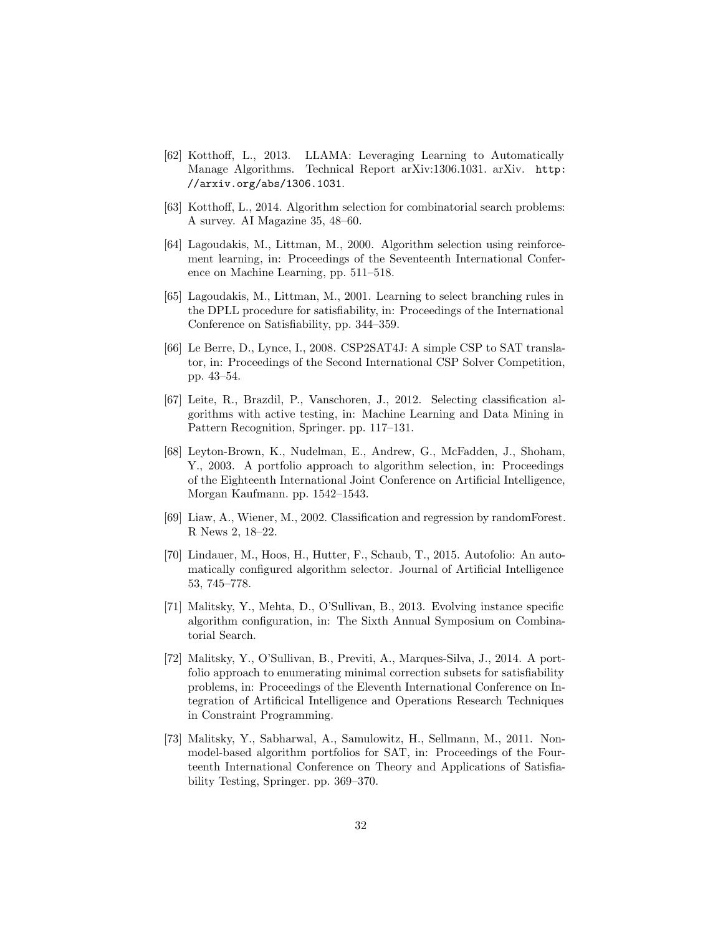- <span id="page-31-9"></span>[62] Kotthoff, L., 2013. LLAMA: Leveraging Learning to Automatically Manage Algorithms. Technical Report arXiv:1306.1031. arXiv. [http:](http://arxiv.org/abs/1306.1031) [//arxiv.org/abs/1306.1031](http://arxiv.org/abs/1306.1031).
- <span id="page-31-7"></span>[63] Kotthoff, L., 2014. Algorithm selection for combinatorial search problems: A survey. AI Magazine 35, 48–60.
- <span id="page-31-3"></span>[64] Lagoudakis, M., Littman, M., 2000. Algorithm selection using reinforcement learning, in: Proceedings of the Seventeenth International Conference on Machine Learning, pp. 511–518.
- <span id="page-31-4"></span>[65] Lagoudakis, M., Littman, M., 2001. Learning to select branching rules in the DPLL procedure for satisfiability, in: Proceedings of the International Conference on Satisfiability, pp. 344–359.
- <span id="page-31-8"></span>[66] Le Berre, D., Lynce, I., 2008. CSP2SAT4J: A simple CSP to SAT translator, in: Proceedings of the Second International CSP Solver Competition, pp. 43–54.
- <span id="page-31-1"></span>[67] Leite, R., Brazdil, P., Vanschoren, J., 2012. Selecting classification algorithms with active testing, in: Machine Learning and Data Mining in Pattern Recognition, Springer. pp. 117–131.
- <span id="page-31-6"></span>[68] Leyton-Brown, K., Nudelman, E., Andrew, G., McFadden, J., Shoham, Y., 2003. A portfolio approach to algorithm selection, in: Proceedings of the Eighteenth International Joint Conference on Artificial Intelligence, Morgan Kaufmann. pp. 1542–1543.
- <span id="page-31-10"></span>[69] Liaw, A., Wiener, M., 2002. Classification and regression by randomForest. R News 2, 18–22.
- <span id="page-31-11"></span>[70] Lindauer, M., Hoos, H., Hutter, F., Schaub, T., 2015. Autofolio: An automatically configured algorithm selector. Journal of Artificial Intelligence 53, 745–778.
- <span id="page-31-0"></span>[71] Malitsky, Y., Mehta, D., O'Sullivan, B., 2013. Evolving instance specific algorithm configuration, in: The Sixth Annual Symposium on Combinatorial Search.
- <span id="page-31-2"></span>[72] Malitsky, Y., O'Sullivan, B., Previti, A., Marques-Silva, J., 2014. A portfolio approach to enumerating minimal correction subsets for satisfiability problems, in: Proceedings of the Eleventh International Conference on Integration of Artificical Intelligence and Operations Research Techniques in Constraint Programming.
- <span id="page-31-5"></span>[73] Malitsky, Y., Sabharwal, A., Samulowitz, H., Sellmann, M., 2011. Nonmodel-based algorithm portfolios for SAT, in: Proceedings of the Fourteenth International Conference on Theory and Applications of Satisfiability Testing, Springer. pp. 369–370.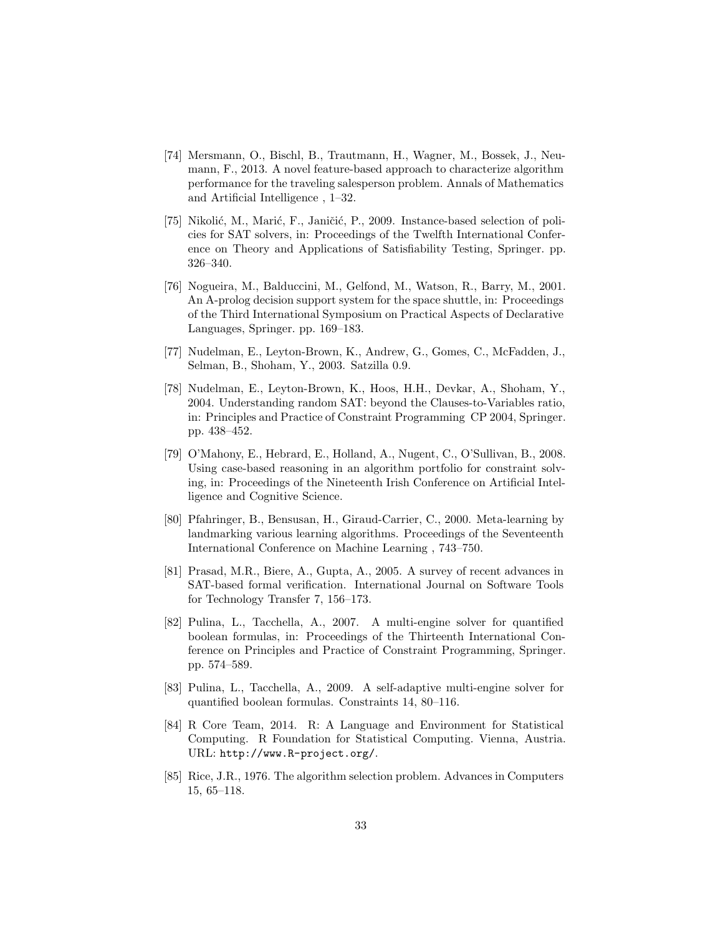- <span id="page-32-5"></span>[74] Mersmann, O., Bischl, B., Trautmann, H., Wagner, M., Bossek, J., Neumann, F., 2013. A novel feature-based approach to characterize algorithm performance for the traveling salesperson problem. Annals of Mathematics and Artificial Intelligence , 1–32.
- <span id="page-32-4"></span>[75] Nikolić, M., Marić, F., Janičić, P., 2009. Instance-based selection of policies for SAT solvers, in: Proceedings of the Twelfth International Conference on Theory and Applications of Satisfiability Testing, Springer. pp. 326–340.
- <span id="page-32-10"></span>[76] Nogueira, M., Balduccini, M., Gelfond, M., Watson, R., Barry, M., 2001. An A-prolog decision support system for the space shuttle, in: Proceedings of the Third International Symposium on Practical Aspects of Declarative Languages, Springer. pp. 169–183.
- <span id="page-32-3"></span>[77] Nudelman, E., Leyton-Brown, K., Andrew, G., Gomes, C., McFadden, J., Selman, B., Shoham, Y., 2003. Satzilla 0.9.
- <span id="page-32-6"></span>[78] Nudelman, E., Leyton-Brown, K., Hoos, H.H., Devkar, A., Shoham, Y., 2004. Understanding random SAT: beyond the Clauses-to-Variables ratio, in: Principles and Practice of Constraint Programming CP 2004, Springer. pp. 438–452.
- <span id="page-32-0"></span>[79] O'Mahony, E., Hebrard, E., Holland, A., Nugent, C., O'Sullivan, B., 2008. Using case-based reasoning in an algorithm portfolio for constraint solving, in: Proceedings of the Nineteenth Irish Conference on Artificial Intelligence and Cognitive Science.
- <span id="page-32-8"></span>[80] Pfahringer, B., Bensusan, H., Giraud-Carrier, C., 2000. Meta-learning by landmarking various learning algorithms. Proceedings of the Seventeenth International Conference on Machine Learning , 743–750.
- <span id="page-32-9"></span>[81] Prasad, M.R., Biere, A., Gupta, A., 2005. A survey of recent advances in SAT-based formal verification. International Journal on Software Tools for Technology Transfer 7, 156–173.
- <span id="page-32-7"></span>[82] Pulina, L., Tacchella, A., 2007. A multi-engine solver for quantified boolean formulas, in: Proceedings of the Thirteenth International Conference on Principles and Practice of Constraint Programming, Springer. pp. 574–589.
- <span id="page-32-2"></span>[83] Pulina, L., Tacchella, A., 2009. A self-adaptive multi-engine solver for quantified boolean formulas. Constraints 14, 80–116.
- <span id="page-32-11"></span>[84] R Core Team, 2014. R: A Language and Environment for Statistical Computing. R Foundation for Statistical Computing. Vienna, Austria. URL: <http://www.R-project.org/>.
- <span id="page-32-1"></span>[85] Rice, J.R., 1976. The algorithm selection problem. Advances in Computers 15, 65–118.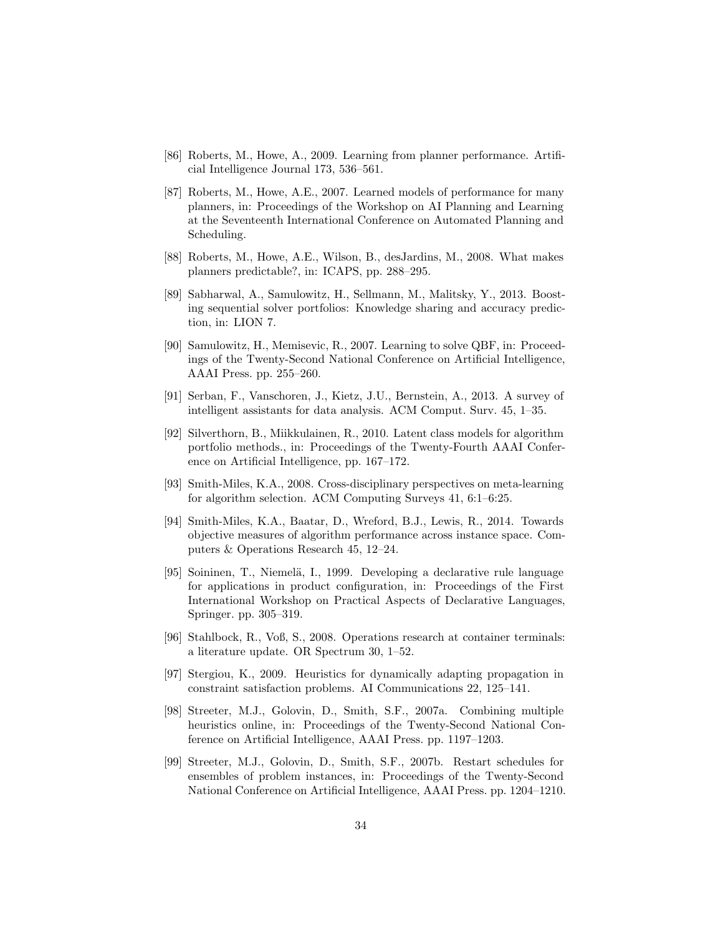- <span id="page-33-13"></span>[86] Roberts, M., Howe, A., 2009. Learning from planner performance. Artificial Intelligence Journal 173, 536–561.
- <span id="page-33-2"></span>[87] Roberts, M., Howe, A.E., 2007. Learned models of performance for many planners, in: Proceedings of the Workshop on AI Planning and Learning at the Seventeenth International Conference on Automated Planning and Scheduling.
- <span id="page-33-6"></span>[88] Roberts, M., Howe, A.E., Wilson, B., desJardins, M., 2008. What makes planners predictable?, in: ICAPS, pp. 288–295.
- <span id="page-33-7"></span>[89] Sabharwal, A., Samulowitz, H., Sellmann, M., Malitsky, Y., 2013. Boosting sequential solver portfolios: Knowledge sharing and accuracy prediction, in: LION 7.
- <span id="page-33-1"></span>[90] Samulowitz, H., Memisevic, R., 2007. Learning to solve QBF, in: Proceedings of the Twenty-Second National Conference on Artificial Intelligence, AAAI Press. pp. 255–260.
- <span id="page-33-8"></span>[91] Serban, F., Vanschoren, J., Kietz, J.U., Bernstein, A., 2013. A survey of intelligent assistants for data analysis. ACM Comput. Surv. 45, 1–35.
- <span id="page-33-3"></span>[92] Silverthorn, B., Miikkulainen, R., 2010. Latent class models for algorithm portfolio methods., in: Proceedings of the Twenty-Fourth AAAI Conference on Artificial Intelligence, pp. 167–172.
- <span id="page-33-9"></span>[93] Smith-Miles, K.A., 2008. Cross-disciplinary perspectives on meta-learning for algorithm selection. ACM Computing Surveys 41, 6:1–6:25.
- <span id="page-33-12"></span>[94] Smith-Miles, K.A., Baatar, D., Wreford, B.J., Lewis, R., 2014. Towards objective measures of algorithm performance across instance space. Computers & Operations Research 45, 12–24.
- <span id="page-33-10"></span>[95] Soininen, T., Niemelä, I., 1999. Developing a declarative rule language for applications in product configuration, in: Proceedings of the First International Workshop on Practical Aspects of Declarative Languages, Springer. pp. 305–319.
- <span id="page-33-11"></span>[96] Stahlbock, R., Voß, S., 2008. Operations research at container terminals: a literature update. OR Spectrum 30, 1–52.
- <span id="page-33-4"></span>[97] Stergiou, K., 2009. Heuristics for dynamically adapting propagation in constraint satisfaction problems. AI Communications 22, 125–141.
- <span id="page-33-5"></span>[98] Streeter, M.J., Golovin, D., Smith, S.F., 2007a. Combining multiple heuristics online, in: Proceedings of the Twenty-Second National Conference on Artificial Intelligence, AAAI Press. pp. 1197–1203.
- <span id="page-33-0"></span>[99] Streeter, M.J., Golovin, D., Smith, S.F., 2007b. Restart schedules for ensembles of problem instances, in: Proceedings of the Twenty-Second National Conference on Artificial Intelligence, AAAI Press. pp. 1204–1210.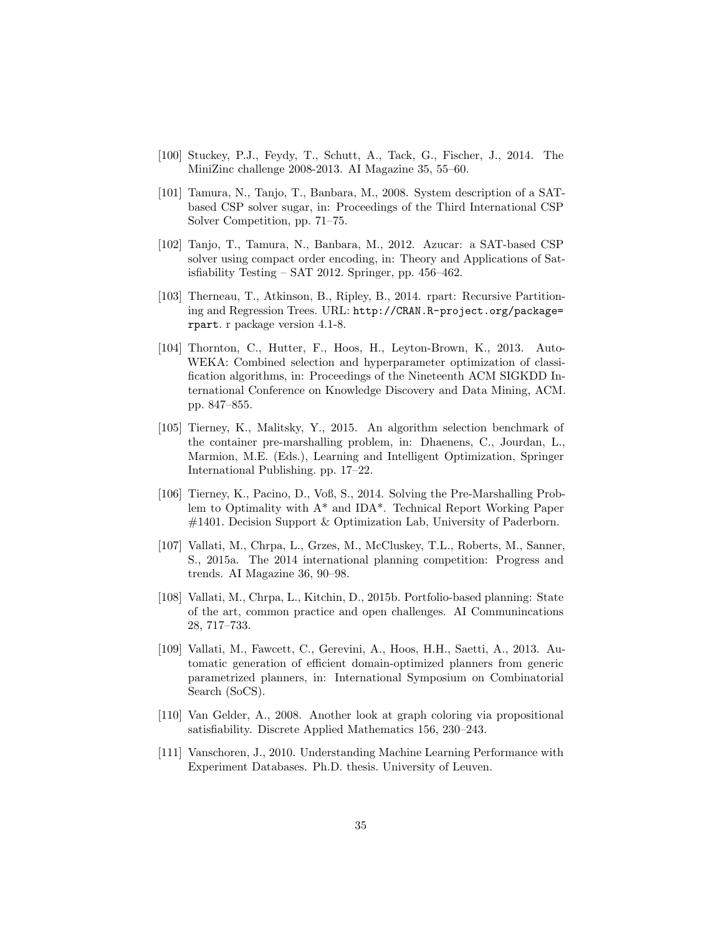- <span id="page-34-7"></span>[100] Stuckey, P.J., Feydy, T., Schutt, A., Tack, G., Fischer, J., 2014. The MiniZinc challenge 2008-2013. AI Magazine 35, 55–60.
- <span id="page-34-8"></span>[101] Tamura, N., Tanjo, T., Banbara, M., 2008. System description of a SATbased CSP solver sugar, in: Proceedings of the Third International CSP Solver Competition, pp. 71–75.
- <span id="page-34-9"></span>[102] Tanjo, T., Tamura, N., Banbara, M., 2012. Azucar: a SAT-based CSP solver using compact order encoding, in: Theory and Applications of Satisfiability Testing – SAT 2012. Springer, pp. 456–462.
- <span id="page-34-11"></span>[103] Therneau, T., Atkinson, B., Ripley, B., 2014. rpart: Recursive Partitioning and Regression Trees. URL: [http://CRAN.R-project.org/package=](http://CRAN.R-project.org/package=rpart) [rpart](http://CRAN.R-project.org/package=rpart). r package version 4.1-8.
- <span id="page-34-0"></span>[104] Thornton, C., Hutter, F., Hoos, H., Leyton-Brown, K., 2013. Auto-WEKA: Combined selection and hyperparameter optimization of classification algorithms, in: Proceedings of the Nineteenth ACM SIGKDD International Conference on Knowledge Discovery and Data Mining, ACM. pp. 847–855.
- <span id="page-34-5"></span>[105] Tierney, K., Malitsky, Y., 2015. An algorithm selection benchmark of the container pre-marshalling problem, in: Dhaenens, C., Jourdan, L., Marmion, M.E. (Eds.), Learning and Intelligent Optimization, Springer International Publishing. pp. 17–22.
- <span id="page-34-10"></span>[106] Tierney, K., Pacino, D., Voß, S., 2014. Solving the Pre-Marshalling Problem to Optimality with A\* and IDA\*. Technical Report Working Paper #1401. Decision Support & Optimization Lab, University of Paderborn.
- <span id="page-34-1"></span>[107] Vallati, M., Chrpa, L., Grzes, M., McCluskey, T.L., Roberts, M., Sanner, S., 2015a. The 2014 international planning competition: Progress and trends. AI Magazine 36, 90–98.
- <span id="page-34-4"></span>[108] Vallati, M., Chrpa, L., Kitchin, D., 2015b. Portfolio-based planning: State of the art, common practice and open challenges. AI Communincations 28, 717–733.
- <span id="page-34-3"></span>[109] Vallati, M., Fawcett, C., Gerevini, A., Hoos, H.H., Saetti, A., 2013. Automatic generation of efficient domain-optimized planners from generic parametrized planners, in: International Symposium on Combinatorial Search (SoCS).
- <span id="page-34-6"></span>[110] Van Gelder, A., 2008. Another look at graph coloring via propositional satisfiability. Discrete Applied Mathematics 156, 230–243.
- <span id="page-34-2"></span>[111] Vanschoren, J., 2010. Understanding Machine Learning Performance with Experiment Databases. Ph.D. thesis. University of Leuven.